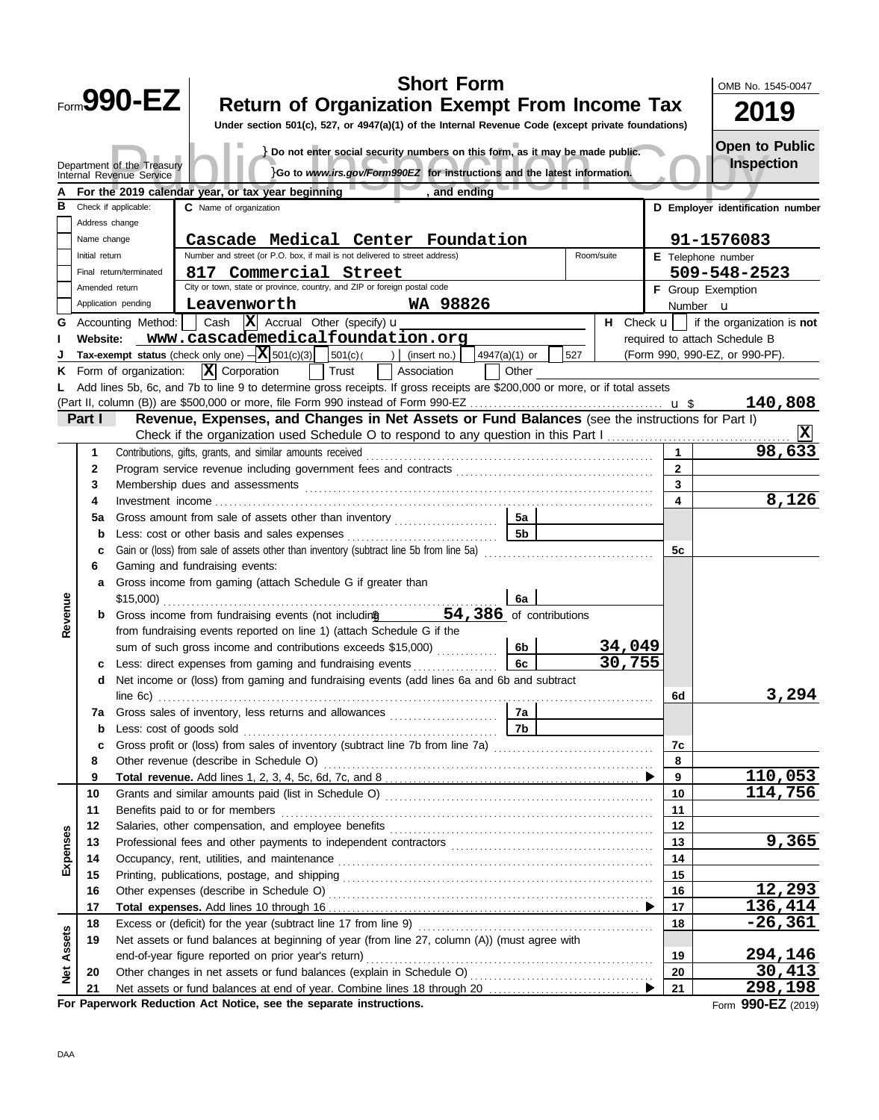|            |                               |                                                                                                                                                     |                                                            |                                                                                                                                                         | <b>Short Form</b> |               |     |            |                              | OMB No. 1545-0047                                               |
|------------|-------------------------------|-----------------------------------------------------------------------------------------------------------------------------------------------------|------------------------------------------------------------|---------------------------------------------------------------------------------------------------------------------------------------------------------|-------------------|---------------|-----|------------|------------------------------|-----------------------------------------------------------------|
|            |                               | <b>Form990-EZ</b>                                                                                                                                   |                                                            | <b>Return of Organization Exempt From Income Tax</b>                                                                                                    |                   |               |     |            |                              | 2019                                                            |
|            |                               |                                                                                                                                                     |                                                            | Under section 501(c), 527, or 4947(a)(1) of the Internal Revenue Code (except private foundations)                                                      |                   |               |     |            |                              |                                                                 |
|            |                               |                                                                                                                                                     |                                                            |                                                                                                                                                         |                   |               |     |            |                              | <b>Open to Public</b>                                           |
|            |                               | Department of the Treasury                                                                                                                          |                                                            | } Do not enter social security numbers on this form, as it may be made public.                                                                          |                   |               |     |            |                              | <b>Inspection</b>                                               |
|            |                               | Internal Revenue Service                                                                                                                            |                                                            | }Go to www.irs.gov/Form990EZ for instructions and the latest information.                                                                               |                   |               |     |            |                              |                                                                 |
|            |                               |                                                                                                                                                     | For the 2019 calendar year, or tax year beginning          |                                                                                                                                                         | and ending        |               |     |            |                              |                                                                 |
| в          |                               | Check if applicable:                                                                                                                                | C Name of organization                                     |                                                                                                                                                         |                   |               |     |            |                              | D Employer identification number                                |
|            | Address change                |                                                                                                                                                     |                                                            |                                                                                                                                                         |                   |               |     |            |                              |                                                                 |
|            | Name change<br>Initial return |                                                                                                                                                     |                                                            | Cascade Medical Center Foundation<br>Number and street (or P.O. box, if mail is not delivered to street address)                                        |                   |               |     | Room/suite |                              | 91-1576083<br>E Telephone number                                |
|            |                               | Final return/terminated                                                                                                                             |                                                            | 817 Commercial Street                                                                                                                                   |                   |               |     |            |                              | 509-548-2523                                                    |
|            | Amended return                |                                                                                                                                                     |                                                            | City or town, state or province, country, and ZIP or foreign postal code                                                                                |                   |               |     |            |                              | F Group Exemption                                               |
|            |                               | Application pending                                                                                                                                 | Leavenworth                                                |                                                                                                                                                         | WA 98826          |               |     |            |                              | Number <b>u</b>                                                 |
| G          |                               | Accounting Method:                                                                                                                                  |                                                            | Cash $ \mathbf{X} $ Accrual Other (specify) $\mathbf{u}$                                                                                                |                   |               |     |            |                              | <b>H</b> Check $\mathbf{u}$   if the organization is <b>not</b> |
|            | Website:                      |                                                                                                                                                     |                                                            | www.cascademedicalfoundation.org                                                                                                                        |                   |               |     |            |                              | required to attach Schedule B                                   |
|            |                               |                                                                                                                                                     | Tax-exempt status (check only one) $- X $ 501(c)(3)        | 501(c)                                                                                                                                                  | )   (insert no.)  | 4947(a)(1) or | 527 |            |                              | (Form 990, 990-EZ, or 990-PF).                                  |
| ĸ.         |                               | Form of organization:                                                                                                                               | $ \mathbf{X} $ Corporation                                 | Trust                                                                                                                                                   | Association       | Other         |     |            |                              |                                                                 |
|            |                               |                                                                                                                                                     |                                                            | Add lines 5b, 6c, and 7b to line 9 to determine gross receipts. If gross receipts are \$200,000 or more, or if total assets                             |                   |               |     |            |                              |                                                                 |
|            |                               |                                                                                                                                                     |                                                            |                                                                                                                                                         |                   |               |     |            |                              | 140,808                                                         |
|            | Part I                        |                                                                                                                                                     |                                                            | Revenue, Expenses, and Changes in Net Assets or Fund Balances (see the instructions for Part I)                                                         |                   |               |     |            |                              |                                                                 |
|            |                               |                                                                                                                                                     |                                                            | Check if the organization used Schedule O to respond to any question in this Part I                                                                     |                   |               |     |            |                              | 98,633                                                          |
|            | 1<br>2                        |                                                                                                                                                     | Contributions, gifts, grants, and similar amounts received |                                                                                                                                                         |                   |               |     |            | $\mathbf{1}$<br>$\mathbf{2}$ |                                                                 |
|            | 3                             |                                                                                                                                                     |                                                            |                                                                                                                                                         |                   |               |     |            | 3                            |                                                                 |
|            | 4                             | Membership dues and assessments                                                                                                                     |                                                            |                                                                                                                                                         |                   |               |     |            | 4                            | 8,126                                                           |
|            | 5a                            |                                                                                                                                                     |                                                            | Gross amount from sale of assets other than inventory                                                                                                   |                   | 5a            |     |            |                              |                                                                 |
|            | b                             |                                                                                                                                                     | Less: cost or other basis and sales expenses               |                                                                                                                                                         |                   | 5b            |     |            |                              |                                                                 |
|            | c                             |                                                                                                                                                     |                                                            | Gain or (loss) from sale of assets other than inventory (subtract line 5b from line 5a)                                                                 |                   |               |     |            | 5с                           |                                                                 |
|            | 6                             | Gaming and fundraising events:                                                                                                                      |                                                            |                                                                                                                                                         |                   |               |     |            |                              |                                                                 |
|            | a                             | Gross income from gaming (attach Schedule G if greater than                                                                                         |                                                            |                                                                                                                                                         |                   |               |     |            |                              |                                                                 |
|            |                               | $$15,000$ )                                                                                                                                         |                                                            |                                                                                                                                                         |                   | 6a            |     |            |                              |                                                                 |
| Revenue    |                               | Gross income from fundraising events (not including 54,386 of contributions                                                                         |                                                            |                                                                                                                                                         |                   |               |     |            |                              |                                                                 |
|            |                               |                                                                                                                                                     |                                                            | from fundraising events reported on line 1) (attach Schedule G if the                                                                                   |                   |               |     |            |                              |                                                                 |
|            |                               |                                                                                                                                                     |                                                            | sum of such gross income and contributions exceeds \$15,000)                                                                                            |                   | 6b            |     | 34,049     |                              |                                                                 |
|            |                               |                                                                                                                                                     |                                                            | c Less: direct expenses from gaming and fundraising events<br>Net income or (loss) from gaming and fundraising events (add lines 6a and 6b and subtract |                   | 6с            |     | 30,755     |                              |                                                                 |
|            | d                             |                                                                                                                                                     |                                                            |                                                                                                                                                         |                   |               |     |            | 6d                           | 3,294                                                           |
|            | 7a                            |                                                                                                                                                     |                                                            | Gross sales of inventory, less returns and allowances                                                                                                   |                   | 7a            |     |            |                              |                                                                 |
|            | b                             | Less: cost of goods sold                                                                                                                            |                                                            |                                                                                                                                                         |                   | 7b            |     |            |                              |                                                                 |
|            | с                             |                                                                                                                                                     |                                                            | Gross profit or (loss) from sales of inventory (subtract line 7b from line 7a) [11] [11] Cross profit or (loss)                                         |                   |               |     |            | 7c                           |                                                                 |
|            | 8                             |                                                                                                                                                     |                                                            |                                                                                                                                                         |                   |               |     |            | 8                            |                                                                 |
|            | 9                             |                                                                                                                                                     |                                                            |                                                                                                                                                         |                   |               |     |            | 9                            | 110,053                                                         |
|            | 10                            |                                                                                                                                                     |                                                            |                                                                                                                                                         |                   |               |     |            | 10                           | 114,756                                                         |
|            | 11                            |                                                                                                                                                     | Benefits paid to or for members                            |                                                                                                                                                         |                   |               |     |            | 11                           |                                                                 |
|            | 12                            |                                                                                                                                                     |                                                            |                                                                                                                                                         |                   |               |     |            | 12                           |                                                                 |
| Expenses   | 13                            |                                                                                                                                                     |                                                            |                                                                                                                                                         |                   |               |     |            | 13                           | 9,365                                                           |
|            | 14                            |                                                                                                                                                     |                                                            | Occupancy, rent, utilities, and maintenance material contains and maintenance material contains and maintenance                                         |                   |               |     |            | 14                           |                                                                 |
|            | 15<br>16                      |                                                                                                                                                     |                                                            |                                                                                                                                                         |                   |               |     |            | 15<br>16                     | 12,293                                                          |
|            | 17                            |                                                                                                                                                     |                                                            |                                                                                                                                                         |                   |               |     |            | 17                           | 136,414                                                         |
|            | 18                            |                                                                                                                                                     |                                                            |                                                                                                                                                         |                   |               |     |            | 18                           | $-26, 361$                                                      |
| Assets     | 19                            |                                                                                                                                                     |                                                            |                                                                                                                                                         |                   |               |     |            |                              |                                                                 |
|            |                               | Net assets or fund balances at beginning of year (from line 27, column (A)) (must agree with<br>end-of-year figure reported on prior year's return) |                                                            |                                                                                                                                                         |                   |               |     | 19         | 294,146                      |                                                                 |
| <b>Net</b> | 20                            |                                                                                                                                                     |                                                            |                                                                                                                                                         |                   |               |     | 20         | 30,413                       |                                                                 |
|            | 21                            |                                                                                                                                                     |                                                            |                                                                                                                                                         |                   |               |     |            | 21                           | 298,198                                                         |
|            |                               |                                                                                                                                                     |                                                            | For Paperwork Reduction Act Notice, see the separate instructions.                                                                                      |                   |               |     |            |                              | Form 990-EZ (2019)                                              |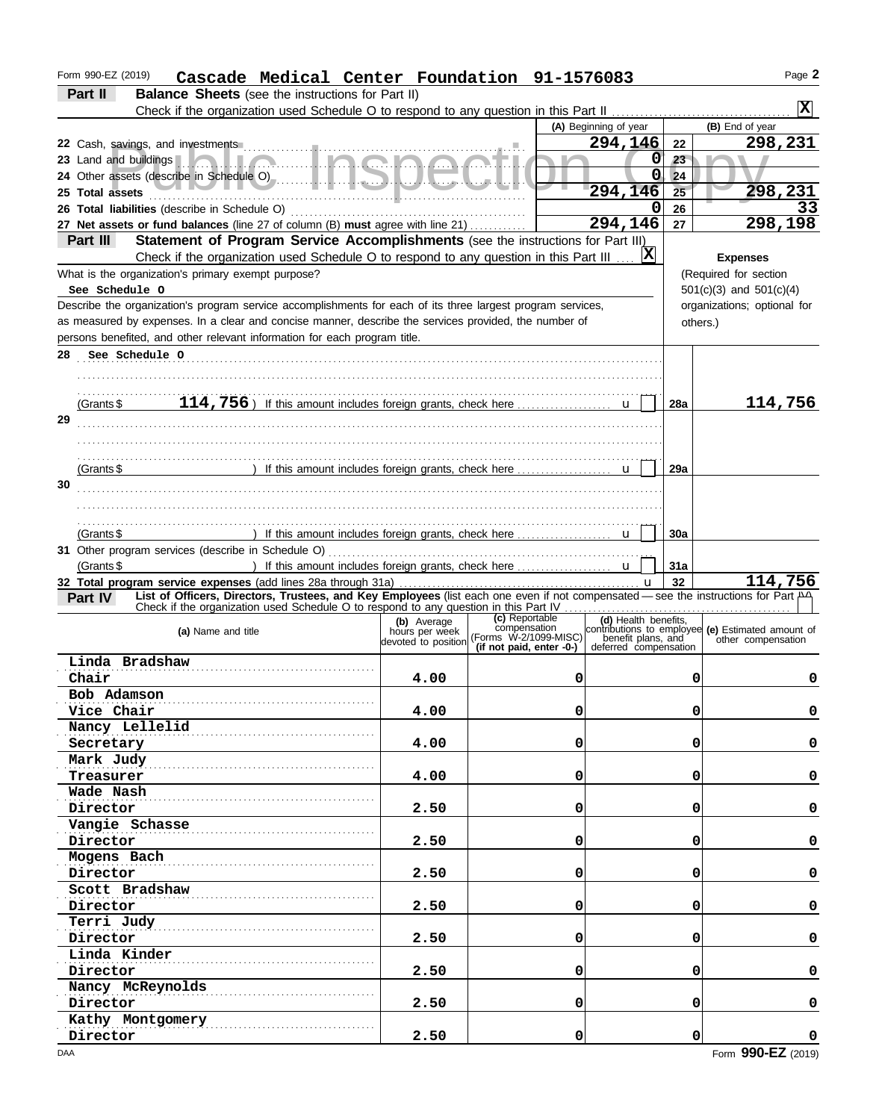| Form 990-EZ (2019)<br>Cascade Medical Center Foundation 91-1576083                                                                 |                                       |                                                      |                                             |          | Page 2                                            |
|------------------------------------------------------------------------------------------------------------------------------------|---------------------------------------|------------------------------------------------------|---------------------------------------------|----------|---------------------------------------------------|
| Part II<br><b>Balance Sheets</b> (see the instructions for Part II)                                                                |                                       |                                                      |                                             |          |                                                   |
| Check if the organization used Schedule O to respond to any question in this Part II                                               |                                       |                                                      |                                             |          | $ {\bf x} $                                       |
|                                                                                                                                    |                                       |                                                      | (A) Beginning of year                       |          | (B) End of year                                   |
|                                                                                                                                    |                                       |                                                      | 294,146                                     | 22       | 298,231                                           |
| 23 Land and buildings <b>A.A.A.A.A.A.A.A.A.A.A.A.</b>                                                                              |                                       |                                                      | $\mathbf 0$                                 | 23       |                                                   |
|                                                                                                                                    |                                       |                                                      | $\overline{0}$                              | 24       |                                                   |
| 25 Total assets                                                                                                                    |                                       |                                                      | 294,146                                     | 25       | 298,231                                           |
|                                                                                                                                    |                                       |                                                      | 0                                           | 26       | 33                                                |
| 27 Net assets or fund balances (line 27 of column (B) must agree with line 21)                                                     |                                       |                                                      | 294,146                                     | 27       | 298,198                                           |
| Part III<br>Statement of Program Service Accomplishments (see the instructions for Part III)                                       |                                       |                                                      |                                             |          |                                                   |
| Check if the organization used Schedule O to respond to any question in this Part III                                              |                                       |                                                      | $ {\bf x} $                                 |          | <b>Expenses</b>                                   |
| What is the organization's primary exempt purpose?                                                                                 |                                       |                                                      |                                             |          | (Required for section                             |
| See Schedule O                                                                                                                     |                                       |                                                      |                                             |          | $501(c)(3)$ and $501(c)(4)$                       |
| Describe the organization's program service accomplishments for each of its three largest program services,                        |                                       |                                                      |                                             |          | organizations; optional for                       |
| as measured by expenses. In a clear and concise manner, describe the services provided, the number of                              |                                       |                                                      |                                             | others.) |                                                   |
| persons benefited, and other relevant information for each program title.                                                          |                                       |                                                      |                                             |          |                                                   |
| 28<br>See Schedule O                                                                                                               |                                       |                                                      |                                             |          |                                                   |
|                                                                                                                                    |                                       |                                                      |                                             |          |                                                   |
|                                                                                                                                    |                                       |                                                      |                                             |          |                                                   |
| (Grants \$                                                                                                                         |                                       |                                                      |                                             | 28a      | 114,756                                           |
| 29                                                                                                                                 |                                       |                                                      |                                             |          |                                                   |
|                                                                                                                                    |                                       |                                                      |                                             |          |                                                   |
|                                                                                                                                    |                                       |                                                      |                                             |          |                                                   |
| (Grants \$                                                                                                                         |                                       |                                                      |                                             | 29a      |                                                   |
| 30                                                                                                                                 |                                       |                                                      |                                             |          |                                                   |
|                                                                                                                                    |                                       |                                                      |                                             |          |                                                   |
|                                                                                                                                    |                                       |                                                      |                                             |          |                                                   |
| (Grants \$                                                                                                                         |                                       |                                                      |                                             | 30a      |                                                   |
|                                                                                                                                    |                                       |                                                      |                                             |          |                                                   |
| (Grants \$                                                                                                                         |                                       |                                                      |                                             | 31a      |                                                   |
| List of Officers, Directors, Trustees, and Key Employees (list each one even if not compensated - see the instructions for Part PA |                                       |                                                      |                                             | 32       | 114,756                                           |
| Part IV                                                                                                                            |                                       |                                                      |                                             |          |                                                   |
|                                                                                                                                    | (b) Average                           | (c) Reportable<br>compensation                       | (d) Health benefits.                        |          | contributions to employee (e) Estimated amount of |
| (a) Name and title                                                                                                                 | hours per week<br>devoted to position | (Forms W-2/1099-MISC)<br>(if not paid, enter $-0$ -) | benefit plans, and<br>deferred compensation |          | other compensation                                |
| Linda Bradshaw                                                                                                                     |                                       |                                                      |                                             |          |                                                   |
| Chair                                                                                                                              | 4.00                                  | 0                                                    |                                             | 0        | 0                                                 |
| Bob Adamson                                                                                                                        |                                       |                                                      |                                             |          |                                                   |
| Vice Chair                                                                                                                         | 4.00                                  | 0                                                    |                                             | 0        | 0                                                 |
| Nancy Lellelid                                                                                                                     |                                       |                                                      |                                             |          |                                                   |
| Secretary                                                                                                                          | 4.00                                  | 0                                                    |                                             | 0        | 0                                                 |
| Mark Judy                                                                                                                          |                                       |                                                      |                                             |          |                                                   |
| Treasurer                                                                                                                          | 4.00                                  | 0                                                    |                                             | 0        | 0                                                 |
| Wade Nash                                                                                                                          |                                       |                                                      |                                             |          |                                                   |
| Director                                                                                                                           | 2.50                                  | 0                                                    |                                             | 0        | 0                                                 |
| Vangie Schasse                                                                                                                     |                                       |                                                      |                                             |          |                                                   |
| Director                                                                                                                           | 2.50                                  | 0                                                    |                                             | 0        | 0                                                 |
| Mogens Bach                                                                                                                        |                                       |                                                      |                                             |          |                                                   |
| Director                                                                                                                           | 2.50                                  | 0                                                    |                                             | 0        | 0                                                 |
| Scott Bradshaw                                                                                                                     |                                       |                                                      |                                             |          |                                                   |
| Director                                                                                                                           | 2.50                                  | 0                                                    |                                             | 0        | 0                                                 |
| Terri Judy                                                                                                                         |                                       |                                                      |                                             |          |                                                   |
| Director                                                                                                                           | 2.50                                  | 0                                                    |                                             | 0        | 0                                                 |
| Linda Kinder                                                                                                                       |                                       |                                                      |                                             |          |                                                   |
| Director                                                                                                                           | 2.50                                  | 0                                                    |                                             | 0        | 0                                                 |
| Nancy McReynolds                                                                                                                   |                                       |                                                      |                                             |          |                                                   |
| Director                                                                                                                           | 2.50                                  | 0                                                    |                                             | 0        | 0                                                 |
| Kathy Montgomery                                                                                                                   |                                       |                                                      |                                             |          |                                                   |
| Director                                                                                                                           | 2.50                                  | 0                                                    |                                             | 0        | 0                                                 |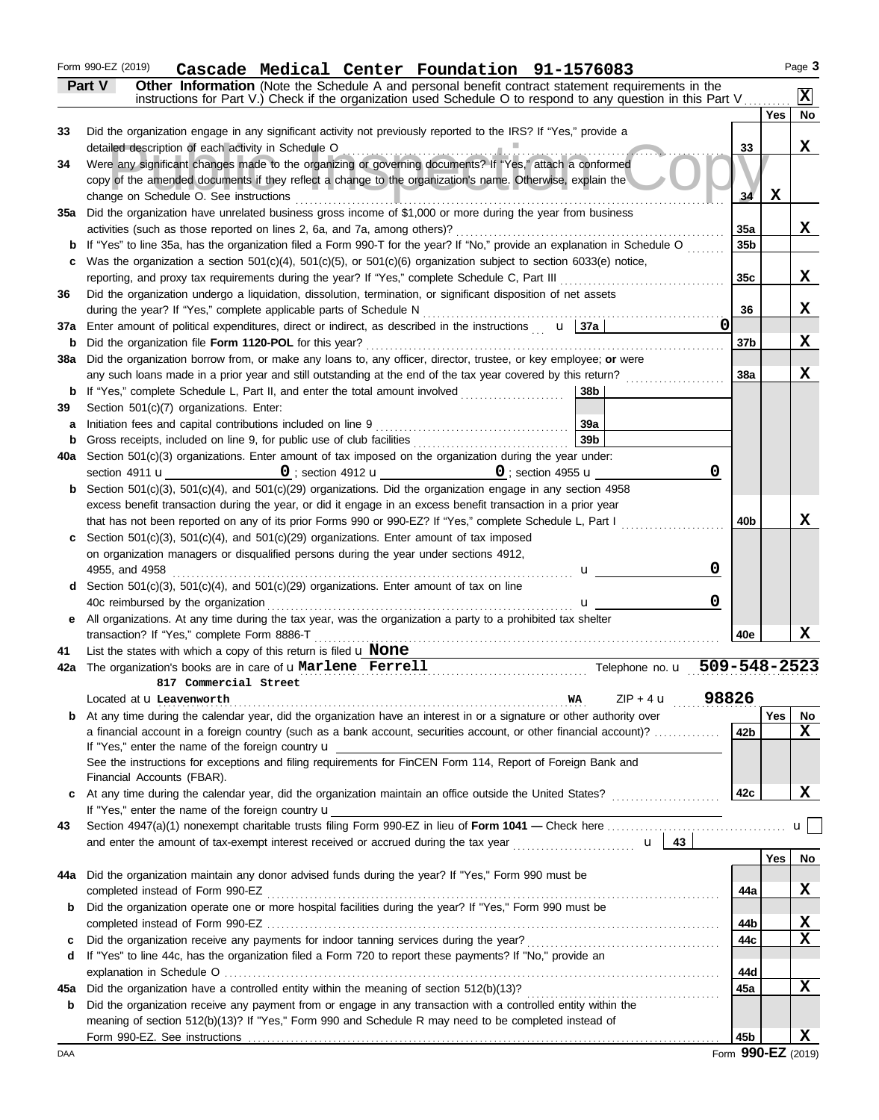|          | Form 990-EZ (2019)<br>Cascade Medical Center Foundation 91-1576083                                                                                                                                                                          |                 |             | Page 3       |
|----------|---------------------------------------------------------------------------------------------------------------------------------------------------------------------------------------------------------------------------------------------|-----------------|-------------|--------------|
|          | Part V<br>Other Information (Note the Schedule A and personal benefit contract statement requirements in the                                                                                                                                |                 |             | $\mathbf{x}$ |
|          | instructions for Part V.) Check if the organization used Schedule O to respond to any question in this Part V.                                                                                                                              |                 | Yes         | No           |
| 33       | Did the organization engage in any significant activity not previously reported to the IRS? If "Yes," provide a                                                                                                                             |                 |             |              |
|          | detailed description of each activity in Schedule O                                                                                                                                                                                         | 33              |             | X            |
| 34       | Were any significant changes made to the organizing or governing documents? If "Yes," attach a conformed                                                                                                                                    |                 |             |              |
|          | copy of the amended documents if they reflect a change to the organization's name. Otherwise, explain the                                                                                                                                   |                 |             |              |
| 35a      | change on Schedule O. See instructions<br>Did the organization have unrelated business gross income of \$1,000 or more during the year from business                                                                                        | 34              | $\mathbf x$ |              |
|          | activities (such as those reported on lines 2, 6a, and 7a, among others)?                                                                                                                                                                   | 35a             |             | X            |
| b        | If "Yes" to line 35a, has the organization filed a Form 990-T for the year? If "No," provide an explanation in Schedule O                                                                                                                   | 35b             |             |              |
| c        | Was the organization a section $501(c)(4)$ , $501(c)(5)$ , or $501(c)(6)$ organization subject to section $6033(e)$ notice,                                                                                                                 |                 |             |              |
|          | reporting, and proxy tax requirements during the year? If "Yes," complete Schedule C, Part III                                                                                                                                              | 35c             |             | X            |
| 36       | Did the organization undergo a liquidation, dissolution, termination, or significant disposition of net assets                                                                                                                              |                 |             |              |
|          | during the year? If "Yes," complete applicable parts of Schedule N                                                                                                                                                                          | 36              |             | X            |
| 37a      | $\mathbf 0$<br>Enter amount of political expenditures, direct or indirect, as described in the instructions $\mathbf{u}$ $\mathbf{37a}$                                                                                                     | 37b             |             | X            |
| b<br>38a | Did the organization file Form 1120-POL for this year?<br>Did the organization borrow from, or make any loans to, any officer, director, trustee, or key employee; or were                                                                  |                 |             |              |
|          | any such loans made in a prior year and still outstanding at the end of the tax year covered by this return?                                                                                                                                | 38a             |             | X            |
| b        | If "Yes," complete Schedule L, Part II, and enter the total amount involved<br>38b                                                                                                                                                          |                 |             |              |
| 39       | Section 501(c)(7) organizations. Enter:                                                                                                                                                                                                     |                 |             |              |
| а        | Initiation fees and capital contributions included on line 9<br>39a                                                                                                                                                                         |                 |             |              |
| b        | 39 <sub>b</sub>                                                                                                                                                                                                                             |                 |             |              |
| 40a      | Section 501(c)(3) organizations. Enter amount of tax imposed on the organization during the year under:<br>0                                                                                                                                |                 |             |              |
| b        | $\overline{\mathbf{0}}$ ; section 4912 <b>u</b> $\overline{\mathbf{0}}$ ; section 4955 <b>u</b><br>section 4911 <b>u</b><br>Section 501(c)(3), 501(c)(4), and 501(c)(29) organizations. Did the organization engage in any section 4958     |                 |             |              |
|          | excess benefit transaction during the year, or did it engage in an excess benefit transaction in a prior year                                                                                                                               |                 |             |              |
|          | that has not been reported on any of its prior Forms 990 or 990-EZ? If "Yes," complete Schedule L, Part I                                                                                                                                   | 40 <sub>b</sub> |             | x            |
| c        | Section $501(c)(3)$ , $501(c)(4)$ , and $501(c)(29)$ organizations. Enter amount of tax imposed                                                                                                                                             |                 |             |              |
|          | on organization managers or disqualified persons during the year under sections 4912,                                                                                                                                                       |                 |             |              |
|          | 0<br>4955, and 4958<br>u —                                                                                                                                                                                                                  |                 |             |              |
|          | Section 501(c)(3), 501(c)(4), and 501(c)(29) organizations. Enter amount of tax on line<br>0                                                                                                                                                |                 |             |              |
| е        | 40c reimbursed by the organization<br>u<br>All organizations. At any time during the tax year, was the organization a party to a prohibited tax shelter                                                                                     |                 |             |              |
|          | transaction? If "Yes," complete Form 8886-T                                                                                                                                                                                                 | 40e             |             | x            |
| 41       | List the states with which a copy of this return is filed $\bf{u}$ None                                                                                                                                                                     |                 |             |              |
|          | Telephone no. u 509-548-2523<br>42a The organization's books are in care of uMarlene Ferrell                                                                                                                                                |                 |             |              |
|          | 817 Commercial Street                                                                                                                                                                                                                       |                 |             |              |
|          | 98826<br>$ZIP + 4$ <b>u</b><br>Located at <b>u</b> Leavenworth<br><b>WA</b>                                                                                                                                                                 |                 |             |              |
| b        | At any time during the calendar year, did the organization have an interest in or a signature or other authority over<br>a financial account in a foreign country (such as a bank account, securities account, or other financial account)? |                 | Yes         | No<br>X      |
|          | If "Yes," enter the name of the foreign country <b>u</b>                                                                                                                                                                                    | 42 <sub>b</sub> |             |              |
|          | See the instructions for exceptions and filing requirements for FinCEN Form 114, Report of Foreign Bank and                                                                                                                                 |                 |             |              |
|          | Financial Accounts (FBAR).                                                                                                                                                                                                                  |                 |             |              |
| c        | At any time during the calendar year, did the organization maintain an office outside the United States?                                                                                                                                    | 42c             |             | X            |
|          | If "Yes," enter the name of the foreign country <b>u</b>                                                                                                                                                                                    |                 |             |              |
| 43       |                                                                                                                                                                                                                                             |                 |             | u∣           |
|          |                                                                                                                                                                                                                                             |                 | Yes         | No           |
| 44a      | Did the organization maintain any donor advised funds during the year? If "Yes," Form 990 must be                                                                                                                                           |                 |             |              |
|          |                                                                                                                                                                                                                                             | 44a             |             | X            |
| b        | Did the organization operate one or more hospital facilities during the year? If "Yes," Form 990 must be                                                                                                                                    |                 |             |              |
|          |                                                                                                                                                                                                                                             | 44b             |             | <u>x</u>     |
| c        |                                                                                                                                                                                                                                             | 44c             |             | $\mathbf x$  |
| d        | If "Yes" to line 44c, has the organization filed a Form 720 to report these payments? If "No," provide an                                                                                                                                   |                 |             |              |
| 45а      | Did the organization have a controlled entity within the meaning of section 512(b)(13)?                                                                                                                                                     | 44d<br>45a      |             | $\mathbf x$  |
| b        | Did the organization receive any payment from or engage in any transaction with a controlled entity within the                                                                                                                              |                 |             |              |
|          | meaning of section 512(b)(13)? If "Yes," Form 990 and Schedule R may need to be completed instead of                                                                                                                                        |                 |             |              |
|          |                                                                                                                                                                                                                                             | 45b             |             | X            |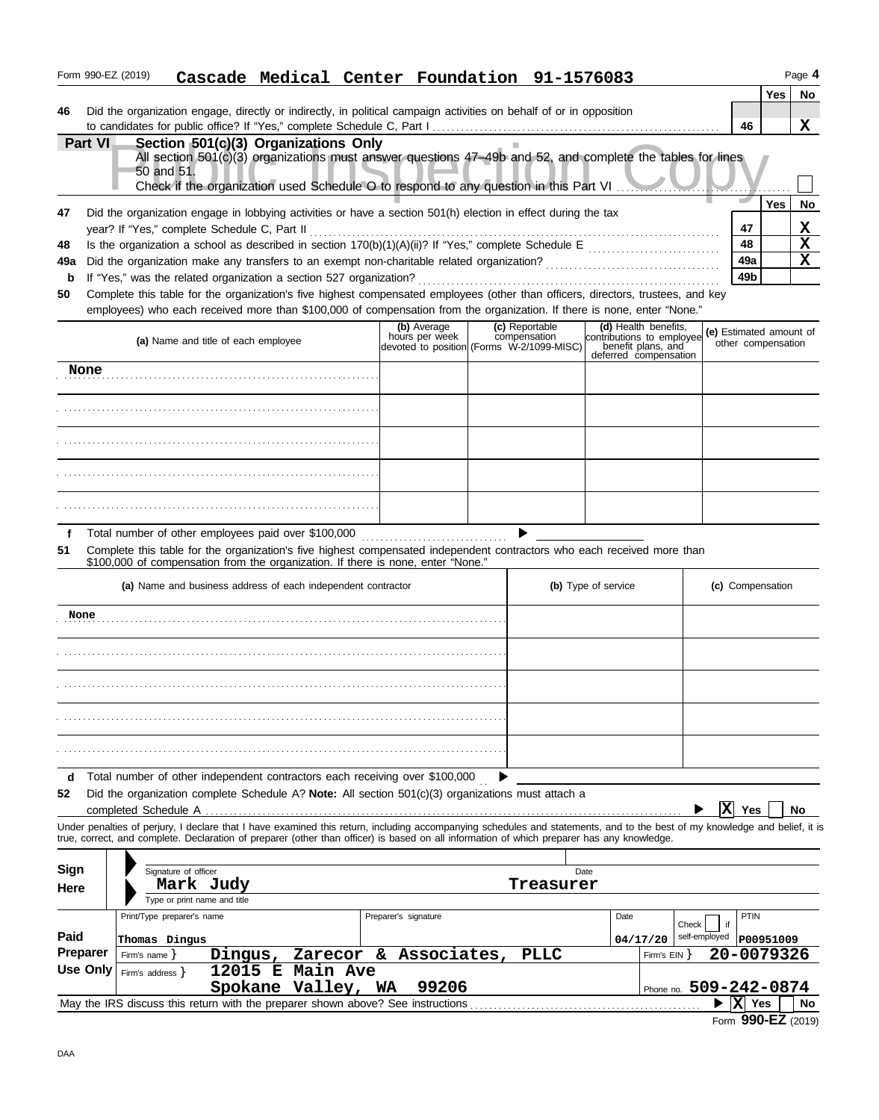|                                                                                                                                                                |                | Form 990-EZ (2019)                      |                                             |                                                                            |                                |  | Cascade Medical Center Foundation 91-1576083                                                                                                                                                                                                                                                                             |                         |                    |                                             |                     |                                 |            | Page 4       |
|----------------------------------------------------------------------------------------------------------------------------------------------------------------|----------------|-----------------------------------------|---------------------------------------------|----------------------------------------------------------------------------|--------------------------------|--|--------------------------------------------------------------------------------------------------------------------------------------------------------------------------------------------------------------------------------------------------------------------------------------------------------------------------|-------------------------|--------------------|---------------------------------------------|---------------------|---------------------------------|------------|--------------|
| 46                                                                                                                                                             |                |                                         |                                             |                                                                            |                                |  | Did the organization engage, directly or indirectly, in political campaign activities on behalf of or in opposition                                                                                                                                                                                                      |                         |                    |                                             |                     | 46                              | <b>Yes</b> | No<br>X      |
|                                                                                                                                                                | <b>Part VI</b> |                                         | 50 and 51.                                  | Section 501(c)(3) Organizations Only                                       |                                |  | All section 501(c)(3) organizations must answer questions 47-49b and 52, and complete the tables for lines<br>Check if the organization used Schedule O to respond to any question in this Part VI                                                                                                                       |                         |                    |                                             |                     |                                 |            |              |
| 47<br>48                                                                                                                                                       |                |                                         |                                             | year? If "Yes," complete Schedule C, Part II                               |                                |  | Did the organization engage in lobbying activities or have a section 501(h) election in effect during the tax<br>Is the organization a school as described in section $170(b)(1)(A)(ii)?$ If "Yes," complete Schedule E                                                                                                  |                         |                    |                                             |                     | 47<br>48                        | Yes        | No<br>X<br>X |
| 49a<br>b<br>50                                                                                                                                                 |                |                                         |                                             | If "Yes," was the related organization a section 527 organization?         |                                |  | Did the organization make any transfers to an exempt non-charitable related organization?<br>Complete this table for the organization's five highest compensated employees (other than officers, directors, trustees, and key                                                                                            |                         |                    | <u> 1986 - Johann Barbara, martin a</u>     |                     | 49a<br>49b                      |            | X            |
| employees) who each received more than \$100,000 of compensation from the organization. If there is none, enter "None."<br>(a) Name and title of each employee |                |                                         |                                             | (b) Average<br>hours per week<br>devoted to position (Forms W-2/1099-MISC) | (c) Reportable<br>compensation |  | (d) Health benefits,<br>contributions to employee<br>benefit plans, and<br>deferred compensation                                                                                                                                                                                                                         | (e) Estimated amount of | other compensation |                                             |                     |                                 |            |              |
|                                                                                                                                                                | None           |                                         |                                             |                                                                            |                                |  |                                                                                                                                                                                                                                                                                                                          |                         |                    |                                             |                     |                                 |            |              |
|                                                                                                                                                                |                |                                         |                                             |                                                                            |                                |  |                                                                                                                                                                                                                                                                                                                          |                         |                    |                                             |                     |                                 |            |              |
|                                                                                                                                                                |                |                                         |                                             |                                                                            |                                |  |                                                                                                                                                                                                                                                                                                                          |                         |                    |                                             |                     |                                 |            |              |
|                                                                                                                                                                |                |                                         |                                             |                                                                            |                                |  |                                                                                                                                                                                                                                                                                                                          |                         |                    |                                             |                     |                                 |            |              |
|                                                                                                                                                                |                |                                         |                                             |                                                                            |                                |  |                                                                                                                                                                                                                                                                                                                          |                         |                    |                                             |                     |                                 |            |              |
| f<br>51                                                                                                                                                        |                |                                         |                                             | Total number of other employees paid over \$100,000                        |                                |  | Complete this table for the organization's five highest compensated independent contractors who each received more than<br>\$100,000 of compensation from the organization. If there is none, enter "None."                                                                                                              |                         |                    |                                             |                     |                                 |            |              |
|                                                                                                                                                                |                |                                         |                                             | (a) Name and business address of each independent contractor               |                                |  |                                                                                                                                                                                                                                                                                                                          | (b) Type of service     |                    |                                             |                     | (c) Compensation                |            |              |
| None                                                                                                                                                           |                |                                         |                                             |                                                                            |                                |  |                                                                                                                                                                                                                                                                                                                          |                         |                    |                                             |                     |                                 |            |              |
|                                                                                                                                                                |                |                                         |                                             |                                                                            |                                |  |                                                                                                                                                                                                                                                                                                                          |                         |                    |                                             |                     |                                 |            |              |
|                                                                                                                                                                |                |                                         |                                             |                                                                            |                                |  |                                                                                                                                                                                                                                                                                                                          |                         |                    |                                             |                     |                                 |            |              |
|                                                                                                                                                                |                |                                         |                                             |                                                                            |                                |  |                                                                                                                                                                                                                                                                                                                          |                         |                    |                                             |                     |                                 |            |              |
|                                                                                                                                                                |                |                                         |                                             |                                                                            |                                |  |                                                                                                                                                                                                                                                                                                                          |                         |                    |                                             |                     |                                 |            |              |
| d<br>52                                                                                                                                                        |                |                                         | completed Schedule A                        |                                                                            |                                |  | Total number of other independent contractors each receiving over \$100,000<br>Did the organization complete Schedule A? Note: All section 501(c)(3) organizations must attach a                                                                                                                                         |                         |                    |                                             | ΙX                  | Yes                             |            | No           |
|                                                                                                                                                                |                |                                         |                                             |                                                                            |                                |  | Under penalties of perjury, I declare that I have examined this return, including accompanying schedules and statements, and to the best of my knowledge and belief, it is<br>true, correct, and complete. Declaration of preparer (other than officer) is based on all information of which preparer has any knowledge. |                         |                    |                                             |                     |                                 |            |              |
| Sign<br>Here                                                                                                                                                   |                |                                         | Signature of officer                        | Mark Judy<br>Type or print name and title                                  |                                |  |                                                                                                                                                                                                                                                                                                                          | Treasurer               | Date               |                                             |                     |                                 |            |              |
| Paid                                                                                                                                                           |                |                                         | Print/Type preparer's name<br>Thomas Dingus |                                                                            |                                |  | Preparer's signature                                                                                                                                                                                                                                                                                                     |                         | Date               | Check<br>04/17/20                           | if<br>self-employed | PTIN                            | P00951009  |              |
| <b>Preparer</b>                                                                                                                                                | Use Only       | Firm's name $\}$<br>Firm's address $\}$ |                                             | Dingus,<br>12015 E                                                         | Main Ave<br>Spokane Valley,    |  | Zarecor & Associates,<br>99206<br>WA                                                                                                                                                                                                                                                                                     | PLLC                    |                    | Firm's $EIN$ $\}$<br>Phone no. 509-242-0874 |                     | 20-0079326                      |            |              |
|                                                                                                                                                                |                |                                         |                                             |                                                                            |                                |  | May the IRS discuss this return with the preparer shown above? See instructions                                                                                                                                                                                                                                          |                         |                    |                                             |                     | X <br>Yes<br>Form 990-EZ (2019) |            | <b>No</b>    |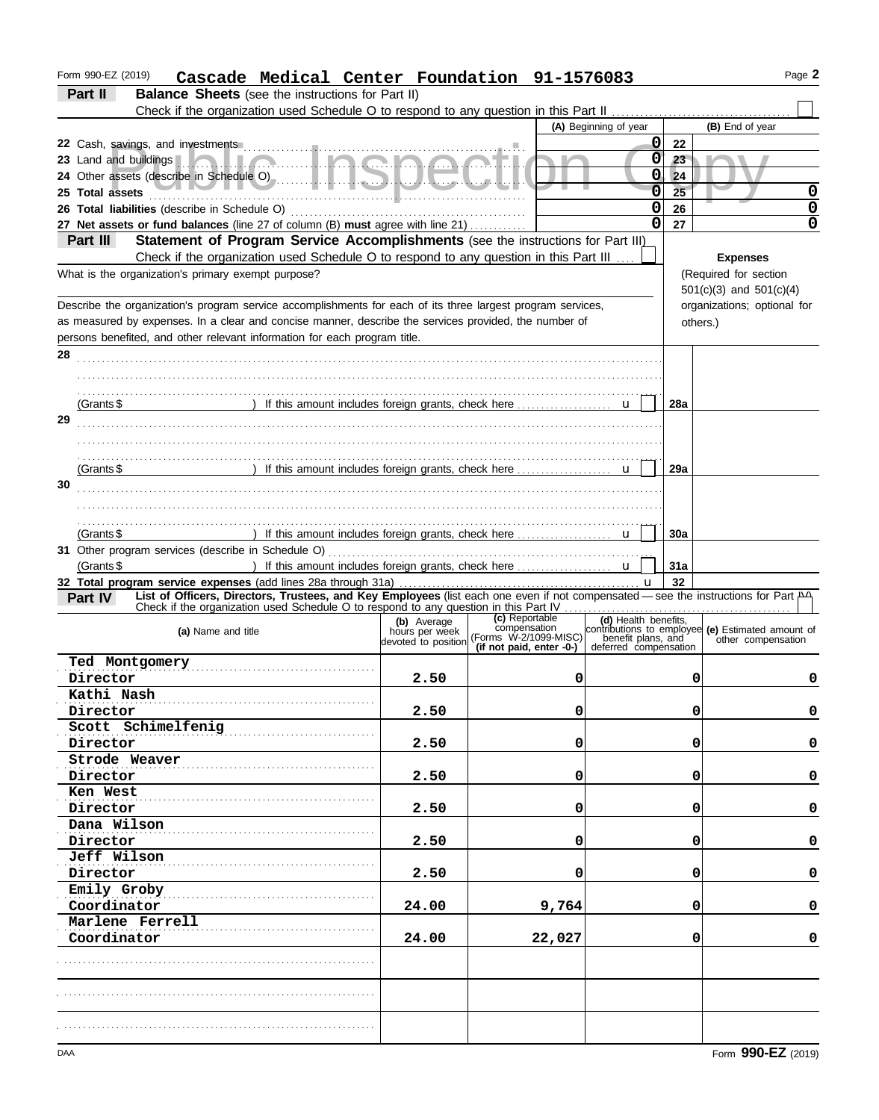| Form 990-EZ (2019)<br>Cascade Medical Center Foundation 91-1576083                                                                            |       |                          |                       |            | Page 2                                                                                                                                                                                                             |
|-----------------------------------------------------------------------------------------------------------------------------------------------|-------|--------------------------|-----------------------|------------|--------------------------------------------------------------------------------------------------------------------------------------------------------------------------------------------------------------------|
| Part II<br><b>Balance Sheets</b> (see the instructions for Part II)                                                                           |       |                          |                       |            |                                                                                                                                                                                                                    |
| Check if the organization used Schedule O to respond to any question in this Part II                                                          |       |                          |                       |            |                                                                                                                                                                                                                    |
|                                                                                                                                               |       |                          | (A) Beginning of year |            | (B) End of year                                                                                                                                                                                                    |
|                                                                                                                                               |       |                          | $\mathbf 0$           | 22         |                                                                                                                                                                                                                    |
| 23 Land and buildings <b>A.A.L.I.C.I.O.I.O.O.C.I.O.O.C.I.</b>                                                                                 |       |                          | 0                     | $23 -$     |                                                                                                                                                                                                                    |
|                                                                                                                                               |       |                          | 0                     | 24         |                                                                                                                                                                                                                    |
| 25 Total assets <b>All According to the Contract of the Contract of Total assets</b>                                                          |       |                          | $\overline{0}$        | 25         | 0                                                                                                                                                                                                                  |
|                                                                                                                                               |       |                          | $\mathbf 0$           | 26         | 0                                                                                                                                                                                                                  |
| 27 Net assets or fund balances (line 27 of column (B) must agree with line 21)                                                                |       |                          | $\mathbf 0$           | 27         | 0                                                                                                                                                                                                                  |
| Statement of Program Service Accomplishments (see the instructions for Part III)<br>Part III                                                  |       |                          |                       |            |                                                                                                                                                                                                                    |
| Check if the organization used Schedule O to respond to any question in this Part III                                                         |       |                          |                       |            | <b>Expenses</b>                                                                                                                                                                                                    |
| What is the organization's primary exempt purpose?                                                                                            |       |                          |                       |            | (Required for section                                                                                                                                                                                              |
|                                                                                                                                               |       |                          |                       |            | $501(c)(3)$ and $501(c)(4)$                                                                                                                                                                                        |
| Describe the organization's program service accomplishments for each of its three largest program services,                                   |       |                          |                       |            | organizations; optional for                                                                                                                                                                                        |
| as measured by expenses. In a clear and concise manner, describe the services provided, the number of                                         |       |                          |                       |            | others.)                                                                                                                                                                                                           |
| persons benefited, and other relevant information for each program title.                                                                     |       |                          |                       |            |                                                                                                                                                                                                                    |
| 28                                                                                                                                            |       |                          |                       |            |                                                                                                                                                                                                                    |
|                                                                                                                                               |       |                          |                       |            |                                                                                                                                                                                                                    |
|                                                                                                                                               |       |                          |                       |            |                                                                                                                                                                                                                    |
| (Grants \$                                                                                                                                    |       |                          | $\mathbf{u}$          | <b>28a</b> |                                                                                                                                                                                                                    |
| 29                                                                                                                                            |       |                          |                       |            |                                                                                                                                                                                                                    |
|                                                                                                                                               |       |                          |                       |            |                                                                                                                                                                                                                    |
|                                                                                                                                               |       |                          |                       |            |                                                                                                                                                                                                                    |
| ) If this amount includes foreign grants, check here<br>(Grants \$                                                                            |       |                          | $\mathbf{u}$          | 29a        |                                                                                                                                                                                                                    |
| 30                                                                                                                                            |       |                          |                       |            |                                                                                                                                                                                                                    |
|                                                                                                                                               |       |                          |                       |            |                                                                                                                                                                                                                    |
|                                                                                                                                               |       |                          |                       |            |                                                                                                                                                                                                                    |
| (Grants \$                                                                                                                                    |       |                          |                       | 30a        |                                                                                                                                                                                                                    |
|                                                                                                                                               |       |                          |                       |            |                                                                                                                                                                                                                    |
| (Grants $$$                                                                                                                                   |       |                          |                       | 31a        |                                                                                                                                                                                                                    |
| 32 Total program service expenses (add lines 28a through 31a)                                                                                 |       |                          |                       | 32         |                                                                                                                                                                                                                    |
| List of Officers, Directors, Trustees, and Key Employees (list each one even if not compensated — see the instructions for Part AD<br>Part IV |       |                          |                       |            |                                                                                                                                                                                                                    |
|                                                                                                                                               |       |                          |                       |            | (b) Average (c) Reportable (d) Health benefits,<br>hours per week compensation contributions to employee (e) Estimated amount of<br>devoted to position (Forms W-2/1099-MISC) benefit plans, and characteristic of |
| (a) Name and title                                                                                                                            |       |                          |                       |            |                                                                                                                                                                                                                    |
|                                                                                                                                               |       | (if not paid, enter -0-) | deferred compensation |            |                                                                                                                                                                                                                    |
| Ted Montgomery                                                                                                                                |       |                          |                       |            |                                                                                                                                                                                                                    |
| Director                                                                                                                                      | 2.50  |                          | $\mathbf{0}$          | 0          | U                                                                                                                                                                                                                  |
| Kathi Nash                                                                                                                                    |       |                          |                       |            |                                                                                                                                                                                                                    |
| Director                                                                                                                                      | 2.50  |                          | 0                     | 0          | 0                                                                                                                                                                                                                  |
| Scott Schimelfenig                                                                                                                            |       |                          |                       |            | 0                                                                                                                                                                                                                  |
| Director<br>Strode Weaver                                                                                                                     | 2.50  |                          | 0                     | 0          |                                                                                                                                                                                                                    |
|                                                                                                                                               |       |                          | 0                     | 0          | 0                                                                                                                                                                                                                  |
| Director<br>Ken West                                                                                                                          | 2.50  |                          |                       |            |                                                                                                                                                                                                                    |
| Director                                                                                                                                      | 2.50  |                          | 0                     | 0          | 0                                                                                                                                                                                                                  |
| Dana Wilson                                                                                                                                   |       |                          |                       |            |                                                                                                                                                                                                                    |
| Director                                                                                                                                      | 2.50  |                          | 0                     | 0          | 0                                                                                                                                                                                                                  |
| Jeff Wilson                                                                                                                                   |       |                          |                       |            |                                                                                                                                                                                                                    |
| Director                                                                                                                                      | 2.50  |                          | 0                     | 0          | 0                                                                                                                                                                                                                  |
| Emily Groby                                                                                                                                   |       |                          |                       |            |                                                                                                                                                                                                                    |
| Coordinator                                                                                                                                   | 24.00 |                          | 9,764                 | 0          | 0                                                                                                                                                                                                                  |
| Marlene Ferrell                                                                                                                               |       |                          |                       |            |                                                                                                                                                                                                                    |
| Coordinator                                                                                                                                   | 24.00 | 22,027                   |                       | 0          | 0                                                                                                                                                                                                                  |
|                                                                                                                                               |       |                          |                       |            |                                                                                                                                                                                                                    |
|                                                                                                                                               |       |                          |                       |            |                                                                                                                                                                                                                    |
|                                                                                                                                               |       |                          |                       |            |                                                                                                                                                                                                                    |
|                                                                                                                                               |       |                          |                       |            |                                                                                                                                                                                                                    |
|                                                                                                                                               |       |                          |                       |            |                                                                                                                                                                                                                    |
|                                                                                                                                               |       |                          |                       |            |                                                                                                                                                                                                                    |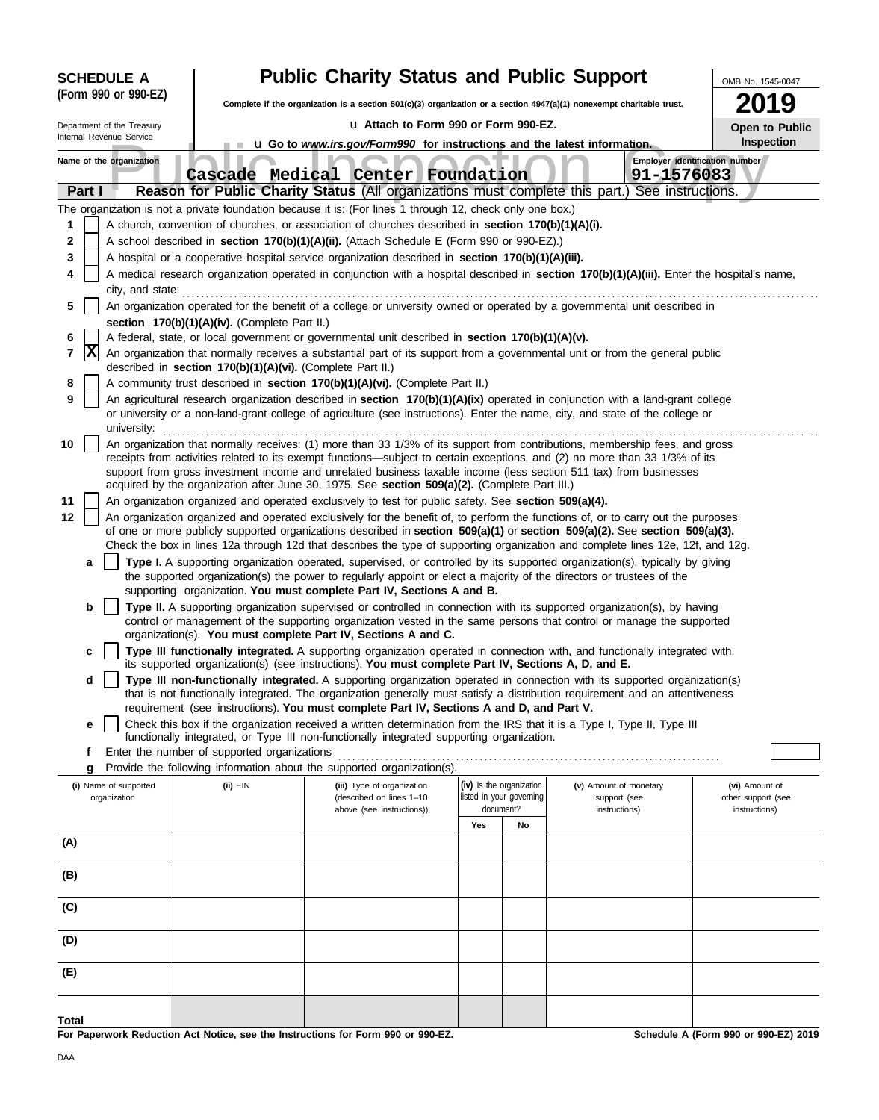| <b>SCHEDULE A</b> |                            |                  |                                                            | <b>Public Charity Status and Public Support</b>                                                                                                                                                                                                                                                                                                                                                                                                                                  |     |                          |                        |            |                                      |  |  |
|-------------------|----------------------------|------------------|------------------------------------------------------------|----------------------------------------------------------------------------------------------------------------------------------------------------------------------------------------------------------------------------------------------------------------------------------------------------------------------------------------------------------------------------------------------------------------------------------------------------------------------------------|-----|--------------------------|------------------------|------------|--------------------------------------|--|--|
|                   | (Form 990 or 990-EZ)       |                  |                                                            | Complete if the organization is a section 501(c)(3) organization or a section 4947(a)(1) nonexempt charitable trust.                                                                                                                                                                                                                                                                                                                                                             |     |                          |                        |            | 9                                    |  |  |
|                   | Department of the Treasury |                  |                                                            | u Attach to Form 990 or Form 990-EZ.                                                                                                                                                                                                                                                                                                                                                                                                                                             |     |                          |                        |            | Open to Public                       |  |  |
|                   | Internal Revenue Service   |                  |                                                            | Inspection<br>u Go to www.irs.gov/Form990 for instructions and the latest information.                                                                                                                                                                                                                                                                                                                                                                                           |     |                          |                        |            |                                      |  |  |
|                   | Name of the organization   |                  |                                                            | Cascade Medical Center Foundation                                                                                                                                                                                                                                                                                                                                                                                                                                                |     |                          |                        | 91-1576083 | Employer identification number       |  |  |
|                   | Part I                     |                  |                                                            | Reason for Public Charity Status (All organizations must complete this part.) See instructions.                                                                                                                                                                                                                                                                                                                                                                                  |     |                          |                        |            |                                      |  |  |
|                   |                            |                  |                                                            | The organization is not a private foundation because it is: (For lines 1 through 12, check only one box.)                                                                                                                                                                                                                                                                                                                                                                        |     |                          |                        |            |                                      |  |  |
| 1                 |                            |                  |                                                            | A church, convention of churches, or association of churches described in section 170(b)(1)(A)(i).                                                                                                                                                                                                                                                                                                                                                                               |     |                          |                        |            |                                      |  |  |
| 2<br>3            |                            |                  |                                                            | A school described in section 170(b)(1)(A)(ii). (Attach Schedule E (Form 990 or 990-EZ).)<br>A hospital or a cooperative hospital service organization described in section 170(b)(1)(A)(iii).                                                                                                                                                                                                                                                                                   |     |                          |                        |            |                                      |  |  |
| 4                 |                            |                  |                                                            | A medical research organization operated in conjunction with a hospital described in section 170(b)(1)(A)(iii). Enter the hospital's name,                                                                                                                                                                                                                                                                                                                                       |     |                          |                        |            |                                      |  |  |
|                   |                            | city, and state: |                                                            |                                                                                                                                                                                                                                                                                                                                                                                                                                                                                  |     |                          |                        |            |                                      |  |  |
| 5                 |                            |                  |                                                            | An organization operated for the benefit of a college or university owned or operated by a governmental unit described in                                                                                                                                                                                                                                                                                                                                                        |     |                          |                        |            |                                      |  |  |
|                   |                            |                  | section 170(b)(1)(A)(iv). (Complete Part II.)              |                                                                                                                                                                                                                                                                                                                                                                                                                                                                                  |     |                          |                        |            |                                      |  |  |
| 6<br>7            | x                          |                  | described in section 170(b)(1)(A)(vi). (Complete Part II.) | A federal, state, or local government or governmental unit described in section 170(b)(1)(A)(v).<br>An organization that normally receives a substantial part of its support from a governmental unit or from the general public                                                                                                                                                                                                                                                 |     |                          |                        |            |                                      |  |  |
| 8                 |                            |                  |                                                            | A community trust described in section 170(b)(1)(A)(vi). (Complete Part II.)                                                                                                                                                                                                                                                                                                                                                                                                     |     |                          |                        |            |                                      |  |  |
| 9                 | university:                |                  |                                                            | An agricultural research organization described in section 170(b)(1)(A)(ix) operated in conjunction with a land-grant college<br>or university or a non-land-grant college of agriculture (see instructions). Enter the name, city, and state of the college or                                                                                                                                                                                                                  |     |                          |                        |            |                                      |  |  |
| 10                |                            |                  |                                                            | An organization that normally receives: (1) more than 33 1/3% of its support from contributions, membership fees, and gross<br>receipts from activities related to its exempt functions—subject to certain exceptions, and (2) no more than 33 1/3% of its<br>support from gross investment income and unrelated business taxable income (less section 511 tax) from businesses<br>acquired by the organization after June 30, 1975. See section 509(a)(2). (Complete Part III.) |     |                          |                        |            |                                      |  |  |
| 11                |                            |                  |                                                            | An organization organized and operated exclusively to test for public safety. See section 509(a)(4).                                                                                                                                                                                                                                                                                                                                                                             |     |                          |                        |            |                                      |  |  |
| 12                |                            |                  |                                                            | An organization organized and operated exclusively for the benefit of, to perform the functions of, or to carry out the purposes<br>of one or more publicly supported organizations described in section 509(a)(1) or section 509(a)(2). See section 509(a)(3).<br>Check the box in lines 12a through 12d that describes the type of supporting organization and complete lines 12e, 12f, and 12g.                                                                               |     |                          |                        |            |                                      |  |  |
|                   | a                          |                  |                                                            | Type I. A supporting organization operated, supervised, or controlled by its supported organization(s), typically by giving<br>the supported organization(s) the power to regularly appoint or elect a majority of the directors or trustees of the<br>supporting organization. You must complete Part IV, Sections A and B.                                                                                                                                                     |     |                          |                        |            |                                      |  |  |
|                   | b                          |                  |                                                            | Type II. A supporting organization supervised or controlled in connection with its supported organization(s), by having<br>control or management of the supporting organization vested in the same persons that control or manage the supported                                                                                                                                                                                                                                  |     |                          |                        |            |                                      |  |  |
|                   |                            |                  |                                                            | organization(s). You must complete Part IV, Sections A and C.<br>Type III functionally integrated. A supporting organization operated in connection with, and functionally integrated with,<br>its supported organization(s) (see instructions). You must complete Part IV, Sections A, D, and E.                                                                                                                                                                                |     |                          |                        |            |                                      |  |  |
|                   | d                          |                  |                                                            | Type III non-functionally integrated. A supporting organization operated in connection with its supported organization(s)<br>that is not functionally integrated. The organization generally must satisfy a distribution requirement and an attentiveness                                                                                                                                                                                                                        |     |                          |                        |            |                                      |  |  |
|                   |                            |                  |                                                            | requirement (see instructions). You must complete Part IV, Sections A and D, and Part V.                                                                                                                                                                                                                                                                                                                                                                                         |     |                          |                        |            |                                      |  |  |
|                   | е                          |                  |                                                            | Check this box if the organization received a written determination from the IRS that it is a Type I, Type II, Type III<br>functionally integrated, or Type III non-functionally integrated supporting organization.                                                                                                                                                                                                                                                             |     |                          |                        |            |                                      |  |  |
|                   | f<br>g                     |                  | Enter the number of supported organizations                | Provide the following information about the supported organization(s).                                                                                                                                                                                                                                                                                                                                                                                                           |     |                          |                        |            |                                      |  |  |
|                   | (i) Name of supported      |                  | (ii) EIN                                                   | (iii) Type of organization                                                                                                                                                                                                                                                                                                                                                                                                                                                       |     | (iv) Is the organization | (v) Amount of monetary |            | (vi) Amount of                       |  |  |
|                   | organization               |                  |                                                            | (described on lines 1-10                                                                                                                                                                                                                                                                                                                                                                                                                                                         |     | listed in your governing | support (see           |            | other support (see                   |  |  |
|                   |                            |                  |                                                            | above (see instructions))                                                                                                                                                                                                                                                                                                                                                                                                                                                        | Yes | document?<br>No          | instructions)          |            | instructions)                        |  |  |
| (A)               |                            |                  |                                                            |                                                                                                                                                                                                                                                                                                                                                                                                                                                                                  |     |                          |                        |            |                                      |  |  |
| (B)               |                            |                  |                                                            |                                                                                                                                                                                                                                                                                                                                                                                                                                                                                  |     |                          |                        |            |                                      |  |  |
| (C)               |                            |                  |                                                            |                                                                                                                                                                                                                                                                                                                                                                                                                                                                                  |     |                          |                        |            |                                      |  |  |
| (D)               |                            |                  |                                                            |                                                                                                                                                                                                                                                                                                                                                                                                                                                                                  |     |                          |                        |            |                                      |  |  |
| (E)               |                            |                  |                                                            |                                                                                                                                                                                                                                                                                                                                                                                                                                                                                  |     |                          |                        |            |                                      |  |  |
| Total             |                            |                  |                                                            |                                                                                                                                                                                                                                                                                                                                                                                                                                                                                  |     |                          |                        |            |                                      |  |  |
|                   |                            |                  |                                                            | For Paperwork Reduction Act Notice, see the Instructions for Form 990 or 990-EZ.                                                                                                                                                                                                                                                                                                                                                                                                 |     |                          |                        |            | Schedule A (Form 990 or 990-EZ) 2019 |  |  |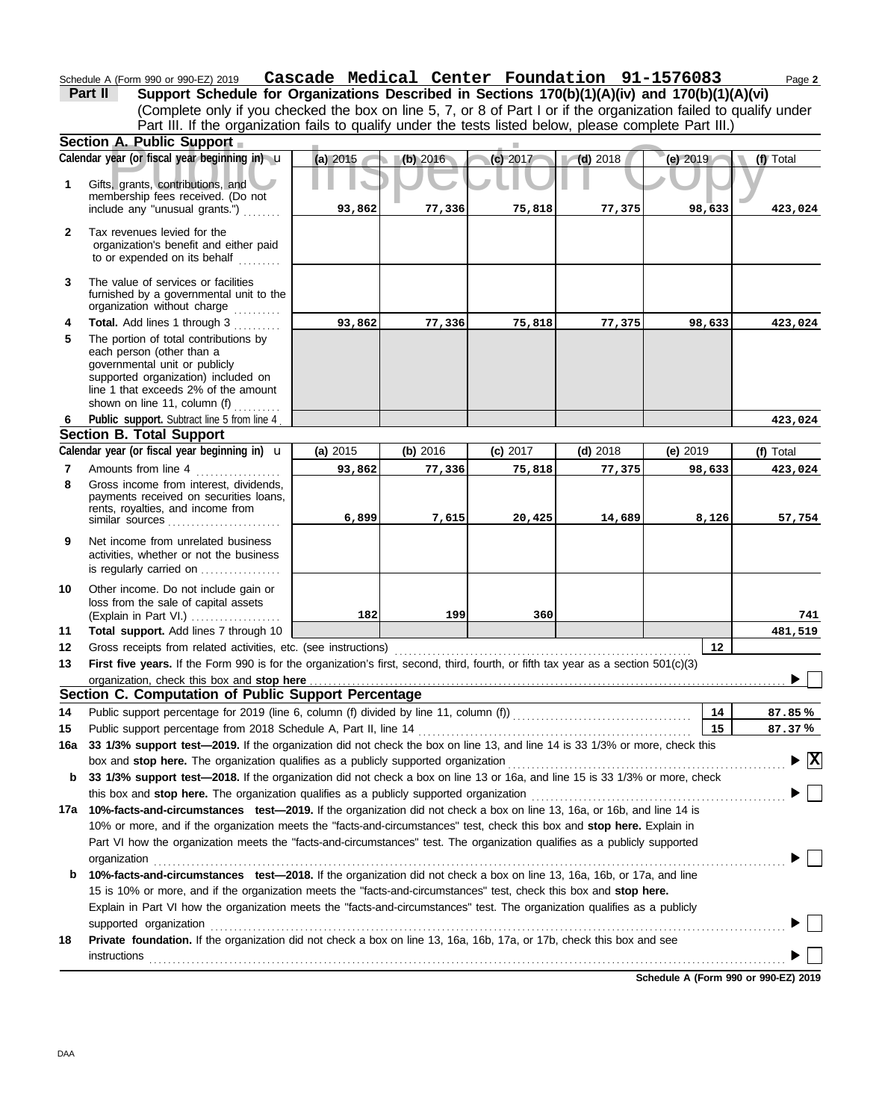Schedule A (Form 990 or 990-EZ) 2019 **Cascade Medical Center Foundation 9l-l576083** Page **2 Cascade Medical Center Foundation 91-1576083**

| Part II | Support Schedule for Organizations Described in Sections 170(b)(1)(A)(iv) and 170(b)(1)(A)(vi)                    |
|---------|-------------------------------------------------------------------------------------------------------------------|
|         | (Complete only if you checked the box on line 5, 7, or 8 of Part I or if the organization failed to qualify under |
|         | Part III. If the organization fails to qualify under the tests listed below, please complete Part III.)           |
|         |                                                                                                                   |

|           | Section A. Public Support                                                                                                                                                                                          |          |          |          |            |          |                                          |
|-----------|--------------------------------------------------------------------------------------------------------------------------------------------------------------------------------------------------------------------|----------|----------|----------|------------|----------|------------------------------------------|
|           | Calendar year (or fiscal year beginning in) u                                                                                                                                                                      | (a) 2015 | (b) 2016 | (c) 2017 | $(d)$ 2018 | (e) 2019 | (f) Total                                |
| 1         | Gifts, grants, contributions, and<br>membership fees received. (Do not                                                                                                                                             |          |          |          |            |          |                                          |
|           | include any "unusual grants.")                                                                                                                                                                                     | 93,862   | 77,336   | 75,818   | 77,375     | 98,633   | 423,024                                  |
| 2         | Tax revenues levied for the<br>organization's benefit and either paid<br>to or expended on its behalf                                                                                                              |          |          |          |            |          |                                          |
| 3         | The value of services or facilities<br>furnished by a governmental unit to the<br>organization without charge                                                                                                      |          |          |          |            |          |                                          |
| 4         | Total. Add lines 1 through 3                                                                                                                                                                                       | 93,862   | 77,336   | 75,818   | 77,375     | 98,633   | 423,024                                  |
| 5         | The portion of total contributions by<br>each person (other than a<br>governmental unit or publicly<br>supported organization) included on<br>line 1 that exceeds 2% of the amount<br>shown on line 11, column (f) |          |          |          |            |          |                                          |
| 6         | Public support. Subtract line 5 from line 4                                                                                                                                                                        |          |          |          |            |          | 423,024                                  |
|           | Section B. Total Support                                                                                                                                                                                           |          |          |          |            |          |                                          |
|           | Calendar year (or fiscal year beginning in) <b>u</b>                                                                                                                                                               | (a) 2015 | (b) 2016 | (c) 2017 | $(d)$ 2018 | (e) 2019 | (f) Total                                |
| 7         | Amounts from line 4                                                                                                                                                                                                | 93,862   | 77,336   | 75,818   | 77,375     | 98,633   | 423,024                                  |
| 8         | Gross income from interest, dividends,<br>payments received on securities loans,<br>rents, royalties, and income from<br>similar sources                                                                           | 6,899    | 7,615    | 20,425   | 14,689     | 8,126    | 57,754                                   |
| 9         | Net income from unrelated business<br>activities, whether or not the business<br>is regularly carried on                                                                                                           |          |          |          |            |          |                                          |
| 10        | Other income. Do not include gain or<br>loss from the sale of capital assets<br>(Explain in Part VI.)                                                                                                              | 182      | 199      | 360      |            |          | 741                                      |
| 11        | Total support. Add lines 7 through 10                                                                                                                                                                              |          |          |          |            |          | 481,519                                  |
| 12        | Gross receipts from related activities, etc. (see instructions)                                                                                                                                                    |          |          |          |            | 12       |                                          |
| 13        | First five years. If the Form 990 is for the organization's first, second, third, fourth, or fifth tax year as a section $501(c)(3)$                                                                               |          |          |          |            |          |                                          |
|           | organization, check this box and stop here                                                                                                                                                                         |          |          |          |            |          |                                          |
|           | Section C. Computation of Public Support Percentage                                                                                                                                                                |          |          |          |            |          |                                          |
| 14        |                                                                                                                                                                                                                    |          |          |          |            | 14       | 87.85%                                   |
| 15<br>16a | 33 1/3% support test-2019. If the organization did not check the box on line 13, and line 14 is 33 1/3% or more, check this                                                                                        |          |          |          |            | 15       | 87.37%                                   |
|           |                                                                                                                                                                                                                    |          |          |          |            |          | $\blacktriangleright$ $\boxed{\text{X}}$ |
| b         | box and stop here. The organization qualifies as a publicly supported organization<br>33 1/3% support test-2018. If the organization did not check a box on line 13 or 16a, and line 15 is 33 1/3% or more, check  |          |          |          |            |          |                                          |
|           | this box and stop here. The organization qualifies as a publicly supported organization                                                                                                                            |          |          |          |            |          |                                          |
|           | 17a 10%-facts-and-circumstances test-2019. If the organization did not check a box on line 13, 16a, or 16b, and line 14 is                                                                                         |          |          |          |            |          |                                          |
|           | 10% or more, and if the organization meets the "facts-and-circumstances" test, check this box and stop here. Explain in                                                                                            |          |          |          |            |          |                                          |
|           | Part VI how the organization meets the "facts-and-circumstances" test. The organization qualifies as a publicly supported                                                                                          |          |          |          |            |          |                                          |
|           | organization                                                                                                                                                                                                       |          |          |          |            |          |                                          |
| b         | 10%-facts-and-circumstances test-2018. If the organization did not check a box on line 13, 16a, 16b, or 17a, and line                                                                                              |          |          |          |            |          |                                          |
|           | 15 is 10% or more, and if the organization meets the "facts-and-circumstances" test, check this box and stop here.                                                                                                 |          |          |          |            |          |                                          |
|           | Explain in Part VI how the organization meets the "facts-and-circumstances" test. The organization qualifies as a publicly                                                                                         |          |          |          |            |          |                                          |
|           | supported organization contains and contains a supported organization contains a supported organization                                                                                                            |          |          |          |            |          |                                          |
| 18        | Private foundation. If the organization did not check a box on line 13, 16a, 16b, 17a, or 17b, check this box and see                                                                                              |          |          |          |            |          |                                          |
|           | instructions                                                                                                                                                                                                       |          |          |          |            |          |                                          |
|           |                                                                                                                                                                                                                    |          |          |          |            |          |                                          |

**Schedule A (Form 990 or 990-EZ) 2019**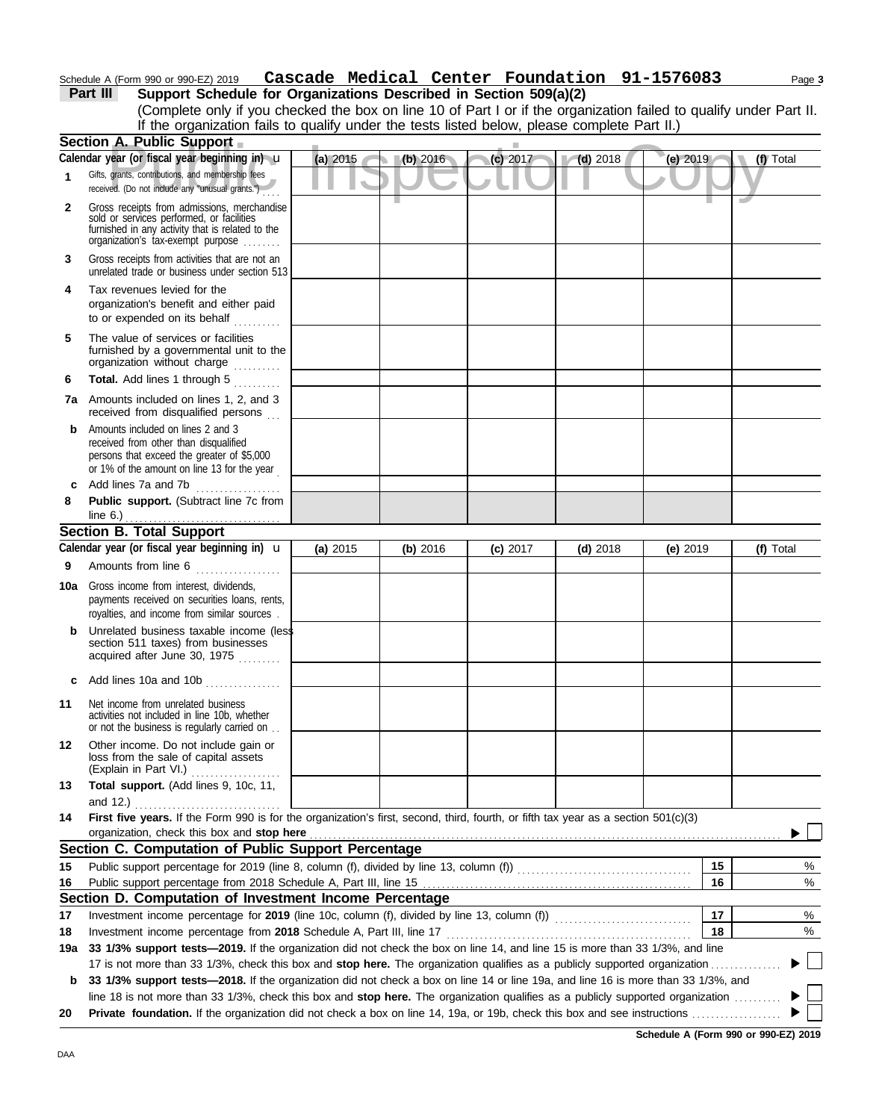### Schedule A (Form 990 or 990-EZ) 2019 Page **3 Cascade Medical Center Foundation 91-1576083**

| Part III | Support Schedule for Organizations Described in Section 509(a)(2)                                                  |
|----------|--------------------------------------------------------------------------------------------------------------------|
|          | (Complete only if you checked the box on line 10 of Part I or if the organization failed to qualify under Part II. |
|          | If the organization fails to qualify under the tests listed below, please complete Part II.)                       |
|          |                                                                                                                    |

|     | Section A. Public Support                                                                                                                                                                                                                                       |            |          |            |            |            |           |
|-----|-----------------------------------------------------------------------------------------------------------------------------------------------------------------------------------------------------------------------------------------------------------------|------------|----------|------------|------------|------------|-----------|
|     | Calendar year (or fiscal year beginning in) u                                                                                                                                                                                                                   | (a) 2015   | (b) 2016 | $(c)$ 2017 | $(d)$ 2018 | (e) 2019   | (f) Total |
| 1   | Gifts, grants, contributions, and membership fees<br>received. (Do not include any "unusual grants.")                                                                                                                                                           |            |          |            |            |            |           |
| 2   | Gross receipts from admissions, merchandise<br>sold or services performed, or facilities<br>furnished in any activity that is related to the<br>organization's tax-exempt purpose                                                                               |            |          |            |            |            |           |
| 3   | Gross receipts from activities that are not an<br>unrelated trade or business under section 513                                                                                                                                                                 |            |          |            |            |            |           |
| 4   | Tax revenues levied for the<br>organization's benefit and either paid<br>to or expended on its behalf                                                                                                                                                           |            |          |            |            |            |           |
| 5   | The value of services or facilities<br>furnished by a governmental unit to the<br>organization without charge<br>.                                                                                                                                              |            |          |            |            |            |           |
| 6   | Total. Add lines 1 through 5<br>in de la calendaria.<br>Notas de la calendaria                                                                                                                                                                                  |            |          |            |            |            |           |
|     | 7a Amounts included on lines 1, 2, and 3<br>received from disqualified persons                                                                                                                                                                                  |            |          |            |            |            |           |
| b   | Amounts included on lines 2 and 3<br>received from other than disqualified<br>persons that exceed the greater of \$5,000<br>or 1% of the amount on line 13 for the year                                                                                         |            |          |            |            |            |           |
| c   | Add lines 7a and 7b<br>.                                                                                                                                                                                                                                        |            |          |            |            |            |           |
| 8   | Public support. (Subtract line 7c from                                                                                                                                                                                                                          |            |          |            |            |            |           |
|     |                                                                                                                                                                                                                                                                 |            |          |            |            |            |           |
|     | <b>Section B. Total Support</b>                                                                                                                                                                                                                                 |            |          |            |            |            |           |
|     | Calendar year (or fiscal year beginning in) $\mathbf u$                                                                                                                                                                                                         | (a) $2015$ | (b) 2016 | $(c)$ 2017 | $(d)$ 2018 | $(e)$ 2019 | (f) Total |
| 9   | Amounts from line 6                                                                                                                                                                                                                                             |            |          |            |            |            |           |
| 10a | Gross income from interest, dividends,<br>payments received on securities loans, rents,<br>royalties, and income from similar sources.                                                                                                                          |            |          |            |            |            |           |
|     | Unrelated business taxable income (less<br>section 511 taxes) from businesses<br>acquired after June 30, 1975                                                                                                                                                   |            |          |            |            |            |           |
| c   | Add lines 10a and 10b                                                                                                                                                                                                                                           |            |          |            |            |            |           |
| 11  | Net income from unrelated business<br>activities not included in line 10b, whether<br>or not the business is regularly carried on                                                                                                                               |            |          |            |            |            |           |
| 12  | Other income. Do not include gain or<br>loss from the sale of capital assets<br>(Explain in Part VI.)                                                                                                                                                           |            |          |            |            |            |           |
| 13  | Total support. (Add lines 9, 10c, 11,                                                                                                                                                                                                                           |            |          |            |            |            |           |
|     | and 12.)                                                                                                                                                                                                                                                        |            |          |            |            |            |           |
| 14  | First five years. If the Form 990 is for the organization's first, second, third, fourth, or fifth tax year as a section $501(c)(3)$                                                                                                                            |            |          |            |            |            |           |
|     | organization, check this box and stop here                                                                                                                                                                                                                      |            |          |            |            |            |           |
|     | Section C. Computation of Public Support Percentage                                                                                                                                                                                                             |            |          |            |            |            |           |
| 15  |                                                                                                                                                                                                                                                                 |            |          |            |            | 15         | %         |
| 16  |                                                                                                                                                                                                                                                                 |            |          |            |            | 16         | $\%$      |
|     | Section D. Computation of Investment Income Percentage                                                                                                                                                                                                          |            |          |            |            |            |           |
| 17  |                                                                                                                                                                                                                                                                 |            |          |            |            | 17         | $\%$      |
| 18  |                                                                                                                                                                                                                                                                 |            |          |            |            | 18         | $\%$      |
| 19a | 33 1/3% support tests-2019. If the organization did not check the box on line 14, and line 15 is more than 33 1/3%, and line                                                                                                                                    |            |          |            |            |            |           |
| b   | 17 is not more than 33 1/3%, check this box and stop here. The organization qualifies as a publicly supported organization<br>33 1/3% support tests—2018. If the organization did not check a box on line 14 or line 19a, and line 16 is more than 33 1/3%, and |            |          |            |            |            |           |
|     | line 18 is not more than 33 1/3%, check this box and stop here. The organization qualifies as a publicly supported organization                                                                                                                                 |            |          |            |            |            |           |
| 20  |                                                                                                                                                                                                                                                                 |            |          |            |            |            |           |
|     |                                                                                                                                                                                                                                                                 |            |          |            |            |            |           |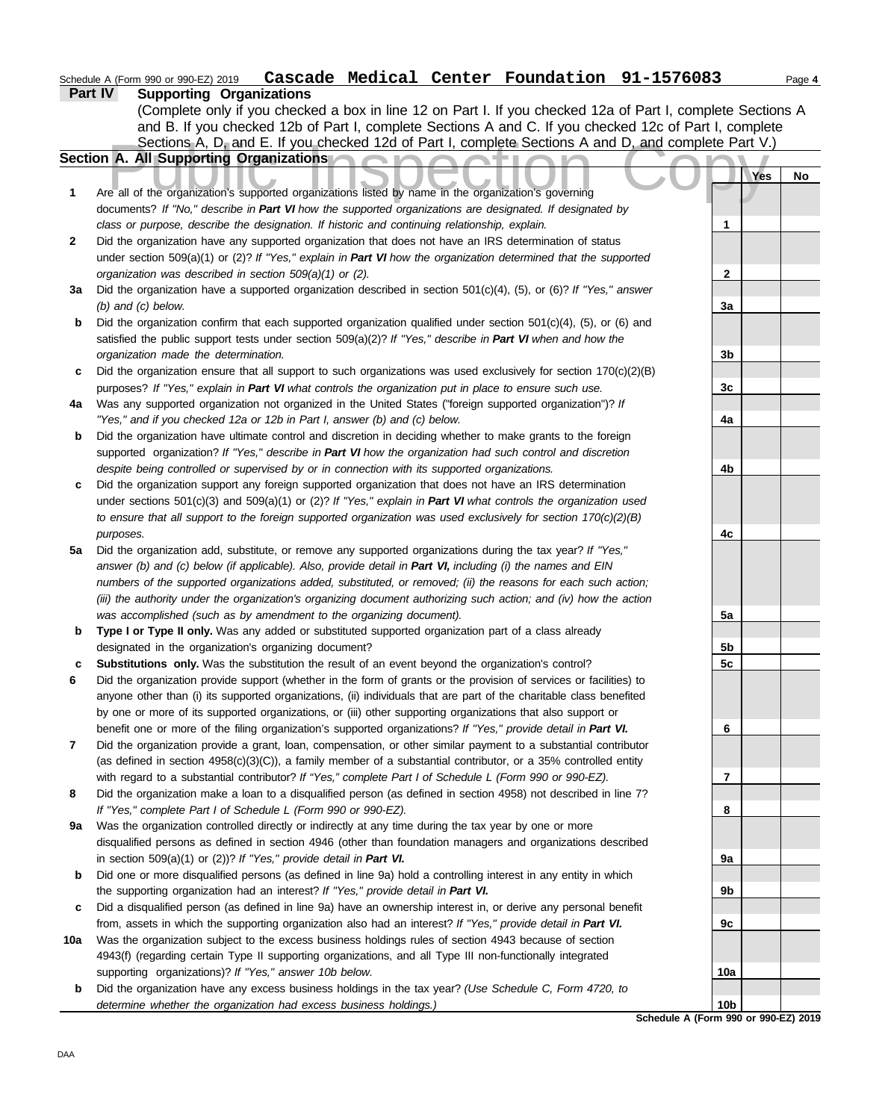## Schedule A (Form 990 or 990-EZ) 2019 Page **4 Cascade Medical Center Foundation 91-1576083**

|              | Part IV                                                                                                             | <b>Supporting Organizations</b> |     |    |  |  |  |  |  |  |
|--------------|---------------------------------------------------------------------------------------------------------------------|---------------------------------|-----|----|--|--|--|--|--|--|
|              | (Complete only if you checked a box in line 12 on Part I. If you checked 12a of Part I, complete Sections A         |                                 |     |    |  |  |  |  |  |  |
|              | and B. If you checked 12b of Part I, complete Sections A and C. If you checked 12c of Part I, complete              |                                 |     |    |  |  |  |  |  |  |
|              | Sections A, D, and E. If you checked 12d of Part I, complete Sections A and D, and complete Part V.)                |                                 |     |    |  |  |  |  |  |  |
|              | Section A. All Supporting Organizations                                                                             |                                 |     |    |  |  |  |  |  |  |
|              |                                                                                                                     |                                 | Yes | No |  |  |  |  |  |  |
| 1            | Are all of the organization's supported organizations listed by name in the organization's governing                |                                 |     |    |  |  |  |  |  |  |
|              | documents? If "No," describe in Part VI how the supported organizations are designated. If designated by            |                                 |     |    |  |  |  |  |  |  |
|              | class or purpose, describe the designation. If historic and continuing relationship, explain.                       | 1                               |     |    |  |  |  |  |  |  |
| $\mathbf{2}$ | Did the organization have any supported organization that does not have an IRS determination of status              |                                 |     |    |  |  |  |  |  |  |
|              | under section 509(a)(1) or (2)? If "Yes," explain in Part VI how the organization determined that the supported     |                                 |     |    |  |  |  |  |  |  |
|              | organization was described in section 509(a)(1) or (2).                                                             | $\mathbf{2}$                    |     |    |  |  |  |  |  |  |
| За           | Did the organization have a supported organization described in section $501(c)(4)$ , (5), or (6)? If "Yes," answer |                                 |     |    |  |  |  |  |  |  |
|              | $(b)$ and $(c)$ below.                                                                                              | 3a                              |     |    |  |  |  |  |  |  |
| b            | Did the organization confirm that each supported organization qualified under section $501(c)(4)$ , (5), or (6) and |                                 |     |    |  |  |  |  |  |  |
|              | satisfied the public support tests under section 509(a)(2)? If "Yes," describe in Part VI when and how the          |                                 |     |    |  |  |  |  |  |  |
|              | organization made the determination.                                                                                | 3b                              |     |    |  |  |  |  |  |  |
| c            | Did the organization ensure that all support to such organizations was used exclusively for section $170(c)(2)(B)$  |                                 |     |    |  |  |  |  |  |  |
|              | purposes? If "Yes," explain in Part VI what controls the organization put in place to ensure such use.              | 3c                              |     |    |  |  |  |  |  |  |
| 4a           | Was any supported organization not organized in the United States ("foreign supported organization")? If            |                                 |     |    |  |  |  |  |  |  |
|              | "Yes," and if you checked 12a or 12b in Part I, answer (b) and (c) below.                                           | 4a                              |     |    |  |  |  |  |  |  |
| b            | Did the organization have ultimate control and discretion in deciding whether to make grants to the foreign         |                                 |     |    |  |  |  |  |  |  |
|              | supported organization? If "Yes," describe in Part VI how the organization had such control and discretion          |                                 |     |    |  |  |  |  |  |  |
|              | despite being controlled or supervised by or in connection with its supported organizations.                        | 4b                              |     |    |  |  |  |  |  |  |
| c            | Did the organization support any foreign supported organization that does not have an IRS determination             |                                 |     |    |  |  |  |  |  |  |
|              | under sections $501(c)(3)$ and $509(a)(1)$ or (2)? If "Yes," explain in Part VI what controls the organization used |                                 |     |    |  |  |  |  |  |  |
|              | to ensure that all support to the foreign supported organization was used exclusively for section $170(c)(2)(B)$    |                                 |     |    |  |  |  |  |  |  |
|              | purposes.                                                                                                           | 4с                              |     |    |  |  |  |  |  |  |
| 5a           | Did the organization add, substitute, or remove any supported organizations during the tax year? If "Yes,"          |                                 |     |    |  |  |  |  |  |  |
|              | answer (b) and (c) below (if applicable). Also, provide detail in Part VI, including (i) the names and EIN          |                                 |     |    |  |  |  |  |  |  |
|              | numbers of the supported organizations added, substituted, or removed; (ii) the reasons for each such action;       |                                 |     |    |  |  |  |  |  |  |
|              | (iii) the authority under the organization's organizing document authorizing such action; and (iv) how the action   |                                 |     |    |  |  |  |  |  |  |
|              | was accomplished (such as by amendment to the organizing document).                                                 | 5a                              |     |    |  |  |  |  |  |  |
| b            | Type I or Type II only. Was any added or substituted supported organization part of a class already                 |                                 |     |    |  |  |  |  |  |  |
|              | designated in the organization's organizing document?                                                               | 5b                              |     |    |  |  |  |  |  |  |
|              | Substitutions only. Was the substitution the result of an event beyond the organization's control?                  | 5c                              |     |    |  |  |  |  |  |  |
| c            |                                                                                                                     |                                 |     |    |  |  |  |  |  |  |
| 6            | Did the organization provide support (whether in the form of grants or the provision of services or facilities) to  |                                 |     |    |  |  |  |  |  |  |
|              | anyone other than (i) its supported organizations, (ii) individuals that are part of the charitable class benefited |                                 |     |    |  |  |  |  |  |  |
|              | by one or more of its supported organizations, or (iii) other supporting organizations that also support or         |                                 |     |    |  |  |  |  |  |  |
|              | benefit one or more of the filing organization's supported organizations? If "Yes," provide detail in Part VI.      | 6                               |     |    |  |  |  |  |  |  |
| 7            | Did the organization provide a grant, loan, compensation, or other similar payment to a substantial contributor     |                                 |     |    |  |  |  |  |  |  |
|              | (as defined in section $4958(c)(3)(C)$ ), a family member of a substantial contributor, or a 35% controlled entity  |                                 |     |    |  |  |  |  |  |  |
|              | with regard to a substantial contributor? If "Yes," complete Part I of Schedule L (Form 990 or 990-EZ).             | $\overline{7}$                  |     |    |  |  |  |  |  |  |
| 8            | Did the organization make a loan to a disqualified person (as defined in section 4958) not described in line 7?     |                                 |     |    |  |  |  |  |  |  |
|              | If "Yes," complete Part I of Schedule L (Form 990 or 990-EZ).                                                       | 8                               |     |    |  |  |  |  |  |  |
| 9a           | Was the organization controlled directly or indirectly at any time during the tax year by one or more               |                                 |     |    |  |  |  |  |  |  |
|              | disqualified persons as defined in section 4946 (other than foundation managers and organizations described         |                                 |     |    |  |  |  |  |  |  |
|              | in section $509(a)(1)$ or $(2)$ ? If "Yes," provide detail in Part VI.                                              | 9а                              |     |    |  |  |  |  |  |  |
| b            | Did one or more disqualified persons (as defined in line 9a) hold a controlling interest in any entity in which     |                                 |     |    |  |  |  |  |  |  |
|              | the supporting organization had an interest? If "Yes," provide detail in Part VI.                                   | 9b                              |     |    |  |  |  |  |  |  |
| c            | Did a disqualified person (as defined in line 9a) have an ownership interest in, or derive any personal benefit     |                                 |     |    |  |  |  |  |  |  |
|              | from, assets in which the supporting organization also had an interest? If "Yes," provide detail in Part VI.        | 9c                              |     |    |  |  |  |  |  |  |
| 10a          | Was the organization subject to the excess business holdings rules of section 4943 because of section               |                                 |     |    |  |  |  |  |  |  |
|              | 4943(f) (regarding certain Type II supporting organizations, and all Type III non-functionally integrated           |                                 |     |    |  |  |  |  |  |  |
|              | supporting organizations)? If "Yes," answer 10b below.                                                              | 10a                             |     |    |  |  |  |  |  |  |
| b            | Did the organization have any excess business holdings in the tax year? (Use Schedule C, Form 4720, to              |                                 |     |    |  |  |  |  |  |  |
|              | determine whether the organization had excess business holdings.)                                                   | 10 <sub>b</sub>                 |     |    |  |  |  |  |  |  |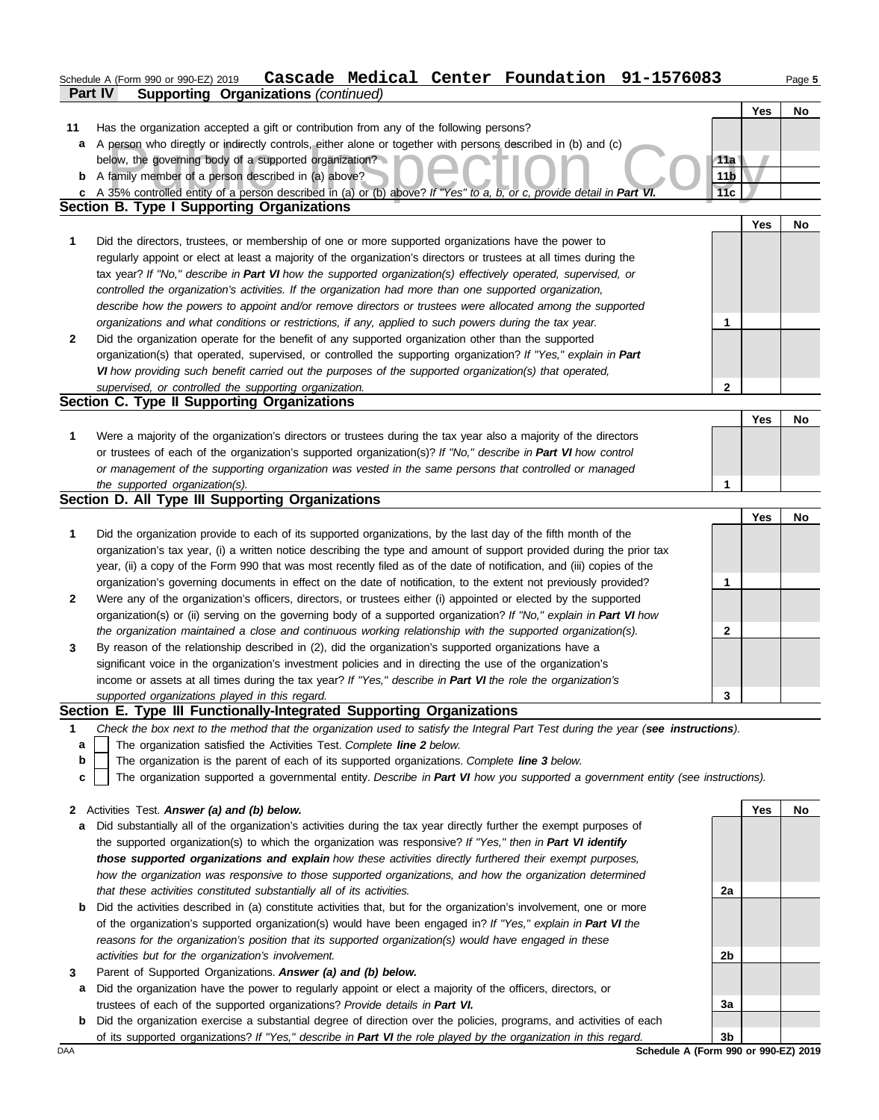# Schedule A (Form 990 or 990-EZ) 2019 Page **5 Cascade Medical Center Foundation 91-1576083**

|    | Part IV<br><b>Supporting Organizations (continued)</b>                                                                                                                                                              |                 |     |    |
|----|---------------------------------------------------------------------------------------------------------------------------------------------------------------------------------------------------------------------|-----------------|-----|----|
|    |                                                                                                                                                                                                                     |                 | Yes | No |
| 11 | Has the organization accepted a gift or contribution from any of the following persons?                                                                                                                             |                 |     |    |
| a  | A person who directly or indirectly controls, either alone or together with persons described in (b) and (c)                                                                                                        |                 |     |    |
|    | below, the governing body of a supported organization?                                                                                                                                                              | 11a             |     |    |
|    | <b>b</b> A family member of a person described in (a) above?                                                                                                                                                        | 11 <sub>b</sub> |     |    |
|    | c A 35% controlled entity of a person described in (a) or (b) above? If "Yes" to a, b, or c, provide detail in Part VI.                                                                                             | 11c             |     |    |
|    | <b>Section B. Type I Supporting Organizations</b>                                                                                                                                                                   |                 |     |    |
|    |                                                                                                                                                                                                                     |                 | Yes | No |
| 1  | Did the directors, trustees, or membership of one or more supported organizations have the power to                                                                                                                 |                 |     |    |
|    | regularly appoint or elect at least a majority of the organization's directors or trustees at all times during the                                                                                                  |                 |     |    |
|    | tax year? If "No," describe in Part VI how the supported organization(s) effectively operated, supervised, or                                                                                                       |                 |     |    |
|    | controlled the organization's activities. If the organization had more than one supported organization,                                                                                                             |                 |     |    |
|    | describe how the powers to appoint and/or remove directors or trustees were allocated among the supported                                                                                                           |                 |     |    |
|    | organizations and what conditions or restrictions, if any, applied to such powers during the tax year.                                                                                                              | 1               |     |    |
| 2  | Did the organization operate for the benefit of any supported organization other than the supported                                                                                                                 |                 |     |    |
|    | organization(s) that operated, supervised, or controlled the supporting organization? If "Yes," explain in Part                                                                                                     |                 |     |    |
|    | VI how providing such benefit carried out the purposes of the supported organization(s) that operated,                                                                                                              |                 |     |    |
|    | supervised, or controlled the supporting organization.                                                                                                                                                              | 2               |     |    |
|    | Section C. Type II Supporting Organizations                                                                                                                                                                         |                 |     |    |
|    |                                                                                                                                                                                                                     |                 | Yes | No |
| 1  | Were a majority of the organization's directors or trustees during the tax year also a majority of the directors                                                                                                    |                 |     |    |
|    | or trustees of each of the organization's supported organization(s)? If "No," describe in Part VI how control                                                                                                       |                 |     |    |
|    | or management of the supporting organization was vested in the same persons that controlled or managed                                                                                                              |                 |     |    |
|    | the supported organization(s).                                                                                                                                                                                      | 1               |     |    |
|    | Section D. All Type III Supporting Organizations                                                                                                                                                                    |                 |     |    |
|    |                                                                                                                                                                                                                     |                 | Yes | No |
| 1  | Did the organization provide to each of its supported organizations, by the last day of the fifth month of the                                                                                                      |                 |     |    |
|    | organization's tax year, (i) a written notice describing the type and amount of support provided during the prior tax                                                                                               |                 |     |    |
|    | year, (ii) a copy of the Form 990 that was most recently filed as of the date of notification, and (iii) copies of the                                                                                              |                 |     |    |
|    | organization's governing documents in effect on the date of notification, to the extent not previously provided?                                                                                                    | 1               |     |    |
| 2  | Were any of the organization's officers, directors, or trustees either (i) appointed or elected by the supported                                                                                                    |                 |     |    |
|    | organization(s) or (ii) serving on the governing body of a supported organization? If "No," explain in Part VI how                                                                                                  |                 |     |    |
|    | the organization maintained a close and continuous working relationship with the supported organization(s).                                                                                                         | 2               |     |    |
| 3  | By reason of the relationship described in (2), did the organization's supported organizations have a<br>significant voice in the organization's investment policies and in directing the use of the organization's |                 |     |    |
|    | income or assets at all times during the tax year? If "Yes," describe in Part VI the role the organization's                                                                                                        |                 |     |    |
|    |                                                                                                                                                                                                                     | 3               |     |    |
|    | supported organizations played in this regard.<br>Section E. Type III Functionally-Integrated Supporting Organizations                                                                                              |                 |     |    |
| 1  | Check the box next to the method that the organization used to satisfy the Integral Part Test during the year (see instructions).                                                                                   |                 |     |    |
| a  | The organization satisfied the Activities Test. Complete line 2 below.                                                                                                                                              |                 |     |    |
| b  | The organization is the parent of each of its supported organizations. Complete line 3 below.                                                                                                                       |                 |     |    |
| c  | The organization supported a governmental entity. Describe in Part VI how you supported a government entity (see instructions).                                                                                     |                 |     |    |
|    |                                                                                                                                                                                                                     |                 |     |    |
| 2  | Activities Test. Answer (a) and (b) below.                                                                                                                                                                          |                 | Yes | No |
| a  | Did substantially all of the organization's activities during the tax year directly further the exempt purposes of                                                                                                  |                 |     |    |
|    | the supported organization(s) to which the organization was responsive? If "Yes," then in Part VI identify                                                                                                          |                 |     |    |
|    | those supported organizations and explain how these activities directly furthered their exempt purposes,                                                                                                            |                 |     |    |
|    | how the organization was responsive to those supported organizations, and how the organization determined                                                                                                           |                 |     |    |
|    | that these activities constituted substantially all of its activities.                                                                                                                                              | 2a              |     |    |
| b  | Did the activities described in (a) constitute activities that, but for the organization's involvement, one or more                                                                                                 |                 |     |    |
|    | of the organization's supported organization(s) would have been engaged in? If "Yes," explain in Part VI the                                                                                                        |                 |     |    |
|    | reasons for the organization's position that its supported organization(s) would have engaged in these                                                                                                              |                 |     |    |

*activities but for the organization's involvement.*

- **3** Parent of Supported Organizations. *Answer (a) and (b) below.*
	- **a** Did the organization have the power to regularly appoint or elect a majority of the officers, directors, or trustees of each of the supported organizations? *Provide details in Part VI.*
- **b** Did the organization exercise a substantial degree of direction over the policies, programs, and activities of each of its supported organizations? *If "Yes," describe in Part VI the role played by the organization in this regard.*

DAA **SChedule A (Form 990 or 990-EZ) 2019 3b**

**2b**

**3a**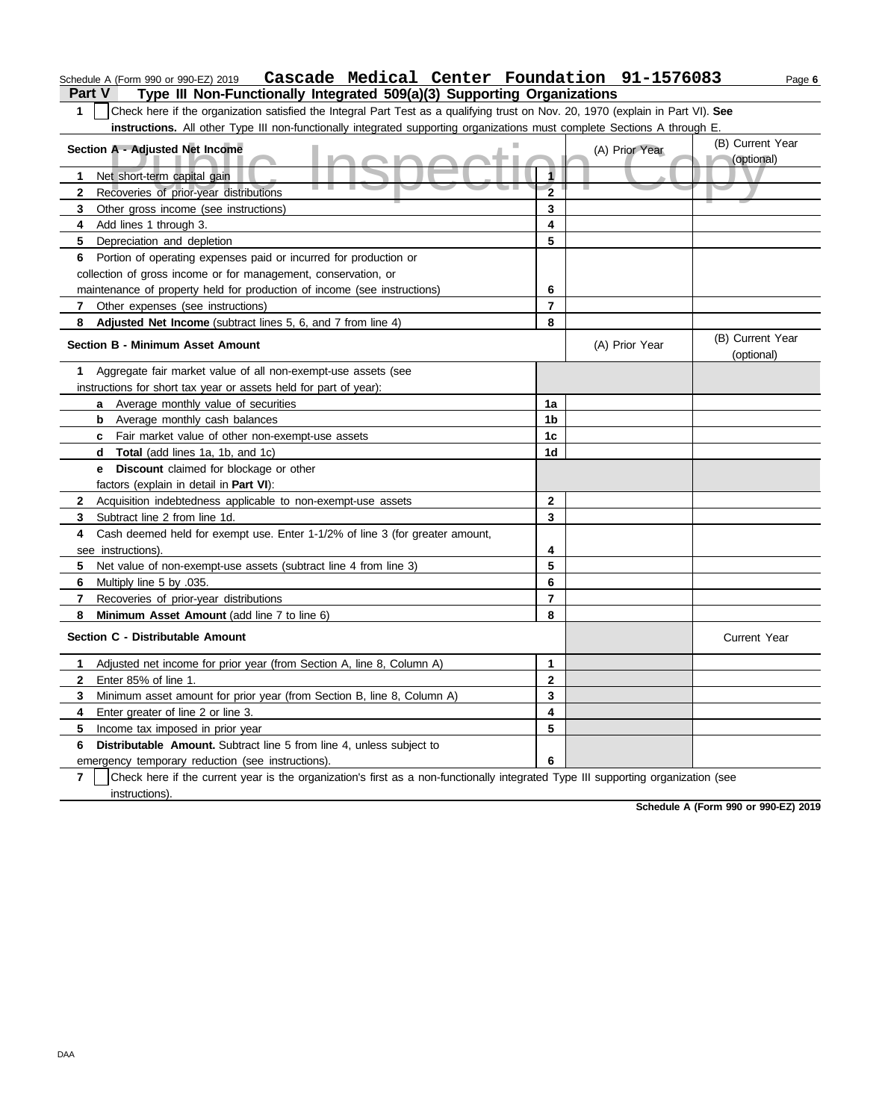| Schedule A (Form 990 or 990-EZ) 2019  Cascade Medical Center Foundation 91-1576083 |  |  | Page 6 |
|------------------------------------------------------------------------------------|--|--|--------|
|                                                                                    |  |  |        |

**Part V Type III Non-Functionally Integrated 509(a)(3) Supporting Organizations** 

**1** Check here if the organization satisfied the Integral Part Test as a qualifying trust on Nov. 20, 1970 (explain in Part VI). **See instructions.** All other Type III non-functionally integrated supporting organizations must complete Sections A through E.

| Section A - Adjusted Net Income                                                                                                                     | (A) Prior Year          | (B) Current Year |                                |
|-----------------------------------------------------------------------------------------------------------------------------------------------------|-------------------------|------------------|--------------------------------|
|                                                                                                                                                     | 1                       |                  | (optional)                     |
| Net short-term capital gain<br>1.                                                                                                                   | $\overline{2}$          |                  |                                |
| Recoveries of prior-year distributions<br>$\mathbf{2}$                                                                                              |                         |                  |                                |
| 3<br>Other gross income (see instructions)                                                                                                          | 3<br>4                  |                  |                                |
| Add lines 1 through 3.<br>4                                                                                                                         |                         |                  |                                |
| 5<br>Depreciation and depletion                                                                                                                     | 5                       |                  |                                |
| Portion of operating expenses paid or incurred for production or<br>6                                                                               |                         |                  |                                |
| collection of gross income or for management, conservation, or                                                                                      |                         |                  |                                |
| maintenance of property held for production of income (see instructions)                                                                            | 6                       |                  |                                |
| Other expenses (see instructions)<br>7                                                                                                              | $\overline{7}$          |                  |                                |
| 8<br>Adjusted Net Income (subtract lines 5, 6, and 7 from line 4)                                                                                   | 8                       |                  |                                |
| <b>Section B - Minimum Asset Amount</b>                                                                                                             |                         | (A) Prior Year   | (B) Current Year<br>(optional) |
| Aggregate fair market value of all non-exempt-use assets (see<br>1                                                                                  |                         |                  |                                |
| instructions for short tax year or assets held for part of year):                                                                                   |                         |                  |                                |
| a Average monthly value of securities                                                                                                               | 1a                      |                  |                                |
| <b>b</b> Average monthly cash balances                                                                                                              | 1 <sub>b</sub>          |                  |                                |
| <b>c</b> Fair market value of other non-exempt-use assets                                                                                           | 1c                      |                  |                                |
| Total (add lines 1a, 1b, and 1c)<br>d                                                                                                               | 1d                      |                  |                                |
| Discount claimed for blockage or other<br>е                                                                                                         |                         |                  |                                |
| factors (explain in detail in Part VI):                                                                                                             |                         |                  |                                |
| Acquisition indebtedness applicable to non-exempt-use assets<br>$\mathbf{2}$                                                                        | $\mathbf{2}$            |                  |                                |
| Subtract line 2 from line 1d.<br>3.                                                                                                                 | 3                       |                  |                                |
| Cash deemed held for exempt use. Enter 1-1/2% of line 3 (for greater amount,<br>4                                                                   |                         |                  |                                |
| see instructions)                                                                                                                                   | 4                       |                  |                                |
| 5<br>Net value of non-exempt-use assets (subtract line 4 from line 3)                                                                               | 5                       |                  |                                |
| 6<br>Multiply line 5 by .035.                                                                                                                       | 6                       |                  |                                |
| $\mathbf{7}$<br>Recoveries of prior-year distributions                                                                                              | $\overline{7}$          |                  |                                |
| 8<br>Minimum Asset Amount (add line 7 to line 6)                                                                                                    | 8                       |                  |                                |
| Section C - Distributable Amount                                                                                                                    |                         |                  | Current Year                   |
| Adjusted net income for prior year (from Section A, line 8, Column A)<br>1                                                                          | 1                       |                  |                                |
| Enter 85% of line 1.<br>$\mathbf{2}$                                                                                                                | $\mathbf{2}$            |                  |                                |
| 3<br>Minimum asset amount for prior year (from Section B, line 8, Column A)                                                                         | 3                       |                  |                                |
| 4<br>Enter greater of line 2 or line 3.                                                                                                             | $\overline{\mathbf{4}}$ |                  |                                |
| 5<br>Income tax imposed in prior year                                                                                                               | 5                       |                  |                                |
| 6<br><b>Distributable Amount.</b> Subtract line 5 from line 4, unless subject to                                                                    |                         |                  |                                |
| emergency temporary reduction (see instructions).                                                                                                   | 6                       |                  |                                |
| $\overline{7}$<br>Check here if the current year is the organization's first as a non-functionally integrated Type III supporting organization (see |                         |                  |                                |
| instructions).                                                                                                                                      |                         |                  |                                |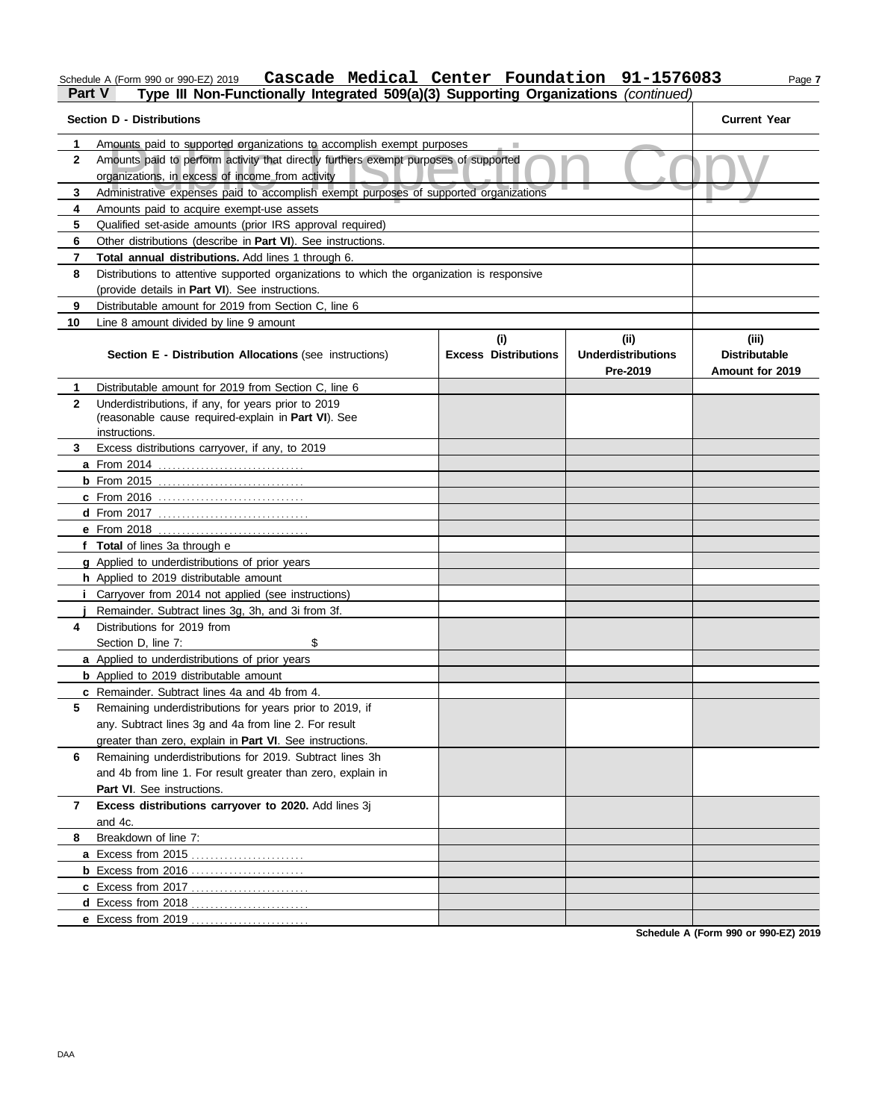### Schedule A (Form 990 or 990-EZ) 2019 Page **7 Cascade Medical Center Foundation 91-1576083**

### **Part V Type III Non-Functionally Integrated 509(a)(3) Supporting Organizations** *(continued)*

| <b>Section D - Distributions</b> | <b>Current Year</b>                                                                                                                                           |     |          |                        |  |  |  |  |
|----------------------------------|---------------------------------------------------------------------------------------------------------------------------------------------------------------|-----|----------|------------------------|--|--|--|--|
| 1                                |                                                                                                                                                               |     |          |                        |  |  |  |  |
| $\mathbf{2}$                     | Amounts paid to supported organizations to accomplish exempt purposes<br>Amounts paid to perform activity that directly furthers exempt purposes of supported |     |          |                        |  |  |  |  |
|                                  | organizations, in excess of income from activity                                                                                                              |     |          |                        |  |  |  |  |
| 3                                | Administrative expenses paid to accomplish exempt purposes of supported organizations                                                                         |     |          |                        |  |  |  |  |
| 4                                | Amounts paid to acquire exempt-use assets                                                                                                                     |     |          |                        |  |  |  |  |
| 5                                | Qualified set-aside amounts (prior IRS approval required)                                                                                                     |     |          |                        |  |  |  |  |
| 6                                | Other distributions (describe in Part VI). See instructions.                                                                                                  |     |          |                        |  |  |  |  |
| 7                                | Total annual distributions. Add lines 1 through 6.                                                                                                            |     |          |                        |  |  |  |  |
| 8                                | Distributions to attentive supported organizations to which the organization is responsive                                                                    |     |          |                        |  |  |  |  |
|                                  | (provide details in Part VI). See instructions.                                                                                                               |     |          |                        |  |  |  |  |
| 9                                | Distributable amount for 2019 from Section C, line 6                                                                                                          |     |          |                        |  |  |  |  |
| 10                               | Line 8 amount divided by line 9 amount                                                                                                                        |     |          |                        |  |  |  |  |
|                                  |                                                                                                                                                               | (i) | (ii)     | (iii)                  |  |  |  |  |
|                                  | <b>Excess Distributions</b><br><b>Underdistributions</b><br>Section E - Distribution Allocations (see instructions)                                           |     |          | <b>Distributable</b>   |  |  |  |  |
|                                  |                                                                                                                                                               |     | Pre-2019 | <b>Amount for 2019</b> |  |  |  |  |
| 1                                | Distributable amount for 2019 from Section C. line 6                                                                                                          |     |          |                        |  |  |  |  |
| $\mathbf{2}$                     | Underdistributions, if any, for years prior to 2019                                                                                                           |     |          |                        |  |  |  |  |
|                                  | (reasonable cause required-explain in Part VI). See                                                                                                           |     |          |                        |  |  |  |  |
|                                  | instructions.                                                                                                                                                 |     |          |                        |  |  |  |  |
| 3                                | Excess distributions carryover, if any, to 2019                                                                                                               |     |          |                        |  |  |  |  |
|                                  | a From 2014                                                                                                                                                   |     |          |                        |  |  |  |  |
|                                  |                                                                                                                                                               |     |          |                        |  |  |  |  |
|                                  | <b>c</b> From 2016                                                                                                                                            |     |          |                        |  |  |  |  |
|                                  |                                                                                                                                                               |     |          |                        |  |  |  |  |
|                                  | e From 2018                                                                                                                                                   |     |          |                        |  |  |  |  |
|                                  | f Total of lines 3a through e<br>g Applied to underdistributions of prior years                                                                               |     |          |                        |  |  |  |  |
|                                  | h Applied to 2019 distributable amount                                                                                                                        |     |          |                        |  |  |  |  |
|                                  | <i>i</i> Carryover from 2014 not applied (see instructions)                                                                                                   |     |          |                        |  |  |  |  |
|                                  | Remainder. Subtract lines 3g, 3h, and 3i from 3f.                                                                                                             |     |          |                        |  |  |  |  |
| 4                                | Distributions for 2019 from                                                                                                                                   |     |          |                        |  |  |  |  |
|                                  | \$<br>Section D, line 7:                                                                                                                                      |     |          |                        |  |  |  |  |
|                                  | a Applied to underdistributions of prior years                                                                                                                |     |          |                        |  |  |  |  |
|                                  | <b>b</b> Applied to 2019 distributable amount                                                                                                                 |     |          |                        |  |  |  |  |
|                                  | c Remainder. Subtract lines 4a and 4b from 4.                                                                                                                 |     |          |                        |  |  |  |  |
| 5                                | Remaining underdistributions for years prior to 2019, if                                                                                                      |     |          |                        |  |  |  |  |
|                                  | any. Subtract lines 3g and 4a from line 2. For result                                                                                                         |     |          |                        |  |  |  |  |
|                                  | greater than zero, explain in Part VI. See instructions.                                                                                                      |     |          |                        |  |  |  |  |
| 6                                | Remaining underdistributions for 2019. Subtract lines 3h                                                                                                      |     |          |                        |  |  |  |  |
|                                  | and 4b from line 1. For result greater than zero, explain in                                                                                                  |     |          |                        |  |  |  |  |
|                                  | Part VI. See instructions.                                                                                                                                    |     |          |                        |  |  |  |  |
| 7                                | Excess distributions carryover to 2020. Add lines 3j                                                                                                          |     |          |                        |  |  |  |  |
|                                  | and 4c.                                                                                                                                                       |     |          |                        |  |  |  |  |
| 8                                | Breakdown of line 7:                                                                                                                                          |     |          |                        |  |  |  |  |
|                                  | a Excess from 2015                                                                                                                                            |     |          |                        |  |  |  |  |
|                                  | <b>b</b> Excess from 2016                                                                                                                                     |     |          |                        |  |  |  |  |
|                                  | <b>c</b> Excess from 2017                                                                                                                                     |     |          |                        |  |  |  |  |
|                                  |                                                                                                                                                               |     |          |                        |  |  |  |  |
|                                  |                                                                                                                                                               |     |          |                        |  |  |  |  |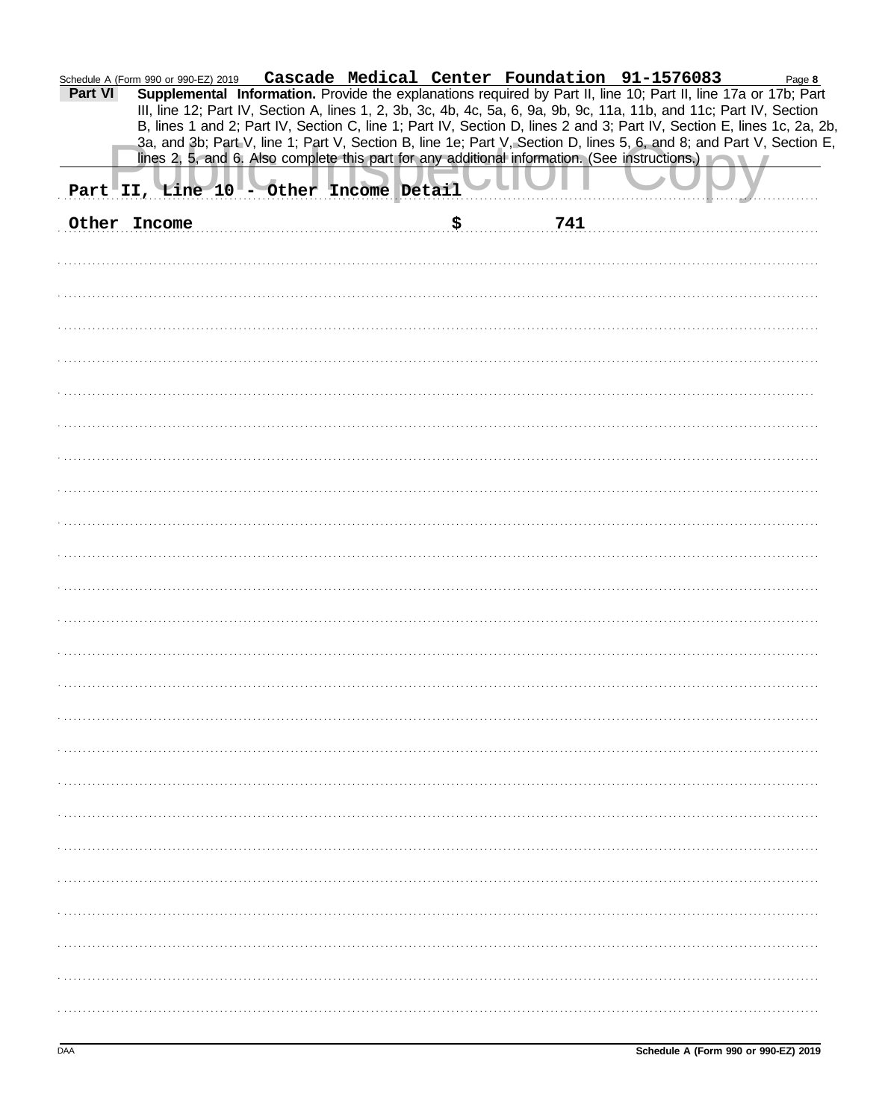|         | m 990 or 990-EZ) 2019 Cascade Medical Center Foundation 91-1576083 Page 8<br>Supplemental Information. Provide the explanations required by Part II, line 10; Part II, line 17a or 17b; Part<br>Schedule A (Form 990 or 990-EZ) 2019           |  |
|---------|------------------------------------------------------------------------------------------------------------------------------------------------------------------------------------------------------------------------------------------------|--|
| Part VI | III, line 12; Part IV, Section A, lines 1, 2, 3b, 3c, 4b, 4c, 5a, 6, 9a, 9b, 9c, 11a, 11b, and 11c; Part IV, Section                                                                                                                           |  |
|         | B, lines 1 and 2; Part IV, Section C, line 1; Part IV, Section D, lines 2 and 3; Part IV, Section E, lines 1c, 2a, 2b,<br>3a, and 3b; Part V, line 1; Part V, Section B, line 1e; Part V, Section D, lines 5, 6, and 8; and Part V, Section E, |  |
|         | lines 2, 5, and 6. Also complete this part for any additional information. (See instructions.)                                                                                                                                                 |  |
|         | Part II, Line 10 - Other Income Detail                                                                                                                                                                                                         |  |
|         | \$<br>Other Income<br>741                                                                                                                                                                                                                      |  |
|         |                                                                                                                                                                                                                                                |  |
|         |                                                                                                                                                                                                                                                |  |
|         |                                                                                                                                                                                                                                                |  |
|         |                                                                                                                                                                                                                                                |  |
|         |                                                                                                                                                                                                                                                |  |
|         |                                                                                                                                                                                                                                                |  |
|         |                                                                                                                                                                                                                                                |  |
|         |                                                                                                                                                                                                                                                |  |
|         |                                                                                                                                                                                                                                                |  |
|         |                                                                                                                                                                                                                                                |  |
|         |                                                                                                                                                                                                                                                |  |
|         |                                                                                                                                                                                                                                                |  |
|         |                                                                                                                                                                                                                                                |  |
|         |                                                                                                                                                                                                                                                |  |
|         |                                                                                                                                                                                                                                                |  |
|         |                                                                                                                                                                                                                                                |  |
|         |                                                                                                                                                                                                                                                |  |
|         |                                                                                                                                                                                                                                                |  |
|         |                                                                                                                                                                                                                                                |  |
|         |                                                                                                                                                                                                                                                |  |
|         |                                                                                                                                                                                                                                                |  |
|         |                                                                                                                                                                                                                                                |  |
|         |                                                                                                                                                                                                                                                |  |
|         |                                                                                                                                                                                                                                                |  |
|         |                                                                                                                                                                                                                                                |  |
|         |                                                                                                                                                                                                                                                |  |
|         |                                                                                                                                                                                                                                                |  |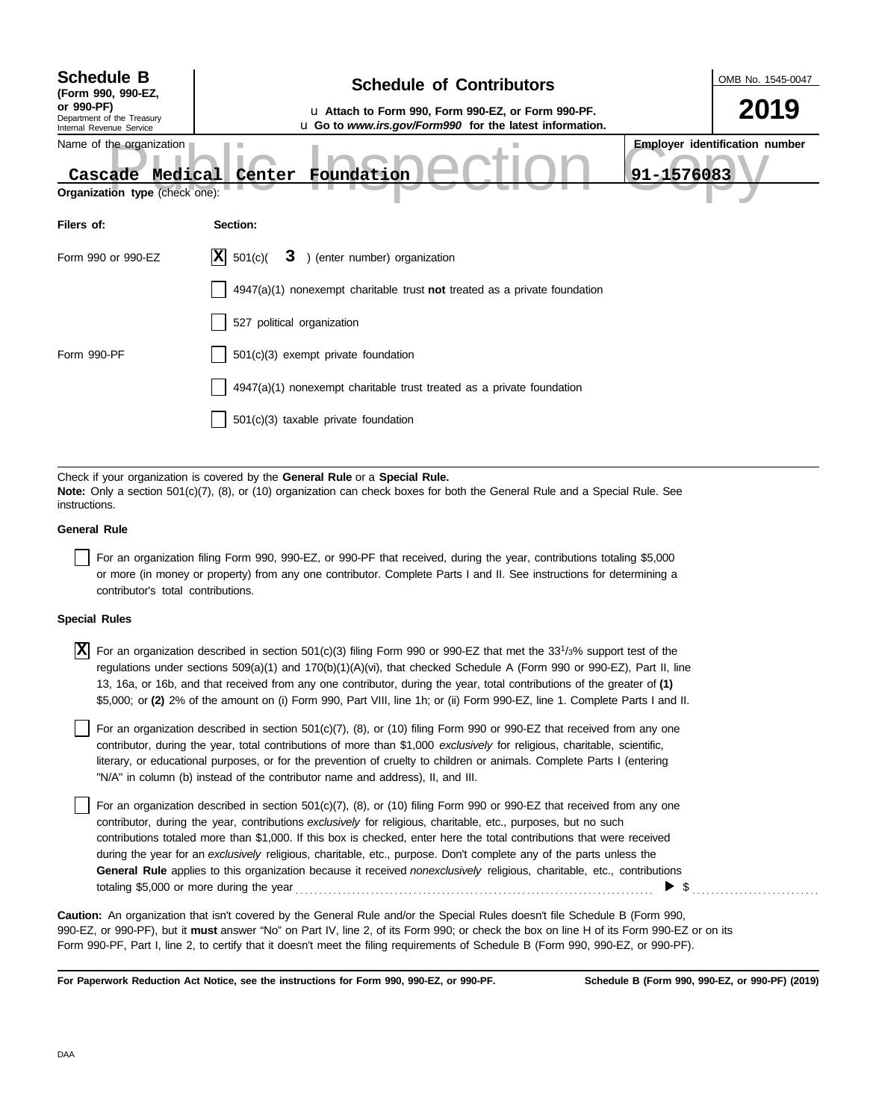| <b>Schedule B</b><br>(Form 990, 990-EZ,<br>or 990-PF)<br>Department of the Treasury<br>Internal Revenue Service | <b>Schedule of Contributors</b><br>u Attach to Form 990, Form 990-EZ, or Form 990-PF.<br>u Go to www.irs.gov/Form990 for the latest information.                                                            | OMB No. 1545-0047<br>2019                           |
|-----------------------------------------------------------------------------------------------------------------|-------------------------------------------------------------------------------------------------------------------------------------------------------------------------------------------------------------|-----------------------------------------------------|
| Name of the organization<br>Cascade Medical<br>Organization type (check one):                                   | Foundation<br>Center                                                                                                                                                                                        | <b>Employer identification number</b><br>91-1576083 |
| Filers of:                                                                                                      | Section:                                                                                                                                                                                                    |                                                     |
| Form 990 or 990-EZ                                                                                              | $ \mathbf{X} $ 501(c)(<br>3 ) (enter number) organization                                                                                                                                                   |                                                     |
|                                                                                                                 | $4947(a)(1)$ nonexempt charitable trust not treated as a private foundation                                                                                                                                 |                                                     |
|                                                                                                                 | 527 political organization                                                                                                                                                                                  |                                                     |
| Form 990-PF                                                                                                     | $501(c)(3)$ exempt private foundation                                                                                                                                                                       |                                                     |
|                                                                                                                 | 4947(a)(1) nonexempt charitable trust treated as a private foundation                                                                                                                                       |                                                     |
|                                                                                                                 | 501(c)(3) taxable private foundation                                                                                                                                                                        |                                                     |
|                                                                                                                 |                                                                                                                                                                                                             |                                                     |
|                                                                                                                 | Check if your organization is covered by the General Rule or a Special Rule.<br>Note: Only a section 501(c)(7), (8), or (10) organization can check boxes for both the General Rule and a Special Rule. See |                                                     |

| instructions.       |  |
|---------------------|--|
| <b>General Rule</b> |  |

For an organization filing Form 990, 990-EZ, or 990-PF that received, during the year, contributions totaling \$5,000 or more (in money or property) from any one contributor. Complete Parts I and II. See instructions for determining a contributor's total contributions.

#### **Special Rules**

 $\overline{X}$  For an organization described in section 501(c)(3) filing Form 990 or 990-EZ that met the 33<sup>1</sup>/3% support test of the regulations under sections 509(a)(1) and 170(b)(1)(A)(vi), that checked Schedule A (Form 990 or 990-EZ), Part II, line 13, 16a, or 16b, and that received from any one contributor, during the year, total contributions of the greater of **(1)** \$5,000; or **(2)** 2% of the amount on (i) Form 990, Part VIII, line 1h; or (ii) Form 990-EZ, line 1. Complete Parts I and II.

literary, or educational purposes, or for the prevention of cruelty to children or animals. Complete Parts I (entering For an organization described in section 501(c)(7), (8), or (10) filing Form 990 or 990-EZ that received from any one contributor, during the year, total contributions of more than \$1,000 *exclusively* for religious, charitable, scientific, "N/A" in column (b) instead of the contributor name and address), II, and III.

For an organization described in section 501(c)(7), (8), or (10) filing Form 990 or 990-EZ that received from any one contributor, during the year, contributions *exclusively* for religious, charitable, etc., purposes, but no such contributions totaled more than \$1,000. If this box is checked, enter here the total contributions that were received during the year for an *exclusively* religious, charitable, etc., purpose. Don't complete any of the parts unless the **General Rule** applies to this organization because it received *nonexclusively* religious, charitable, etc., contributions totaling \$5,000 or more during the year . . . . . . . . . . . . . . . . . . . . . . . . . . . . . . . . . . . . . . . . . . . . . . . . . . . . . . . . . . . . . . . . . . . . . . . . . . . . \$ . . . . . . . . . . . . . . . . . . . . . . . . . . .

990-EZ, or 990-PF), but it **must** answer "No" on Part IV, line 2, of its Form 990; or check the box on line H of its Form 990-EZ or on its Form 990-PF, Part I, line 2, to certify that it doesn't meet the filing requirements of Schedule B (Form 990, 990-EZ, or 990-PF). **Caution:** An organization that isn't covered by the General Rule and/or the Special Rules doesn't file Schedule B (Form 990,

**For Paperwork Reduction Act Notice, see the instructions for Form 990, 990-EZ, or 990-PF.**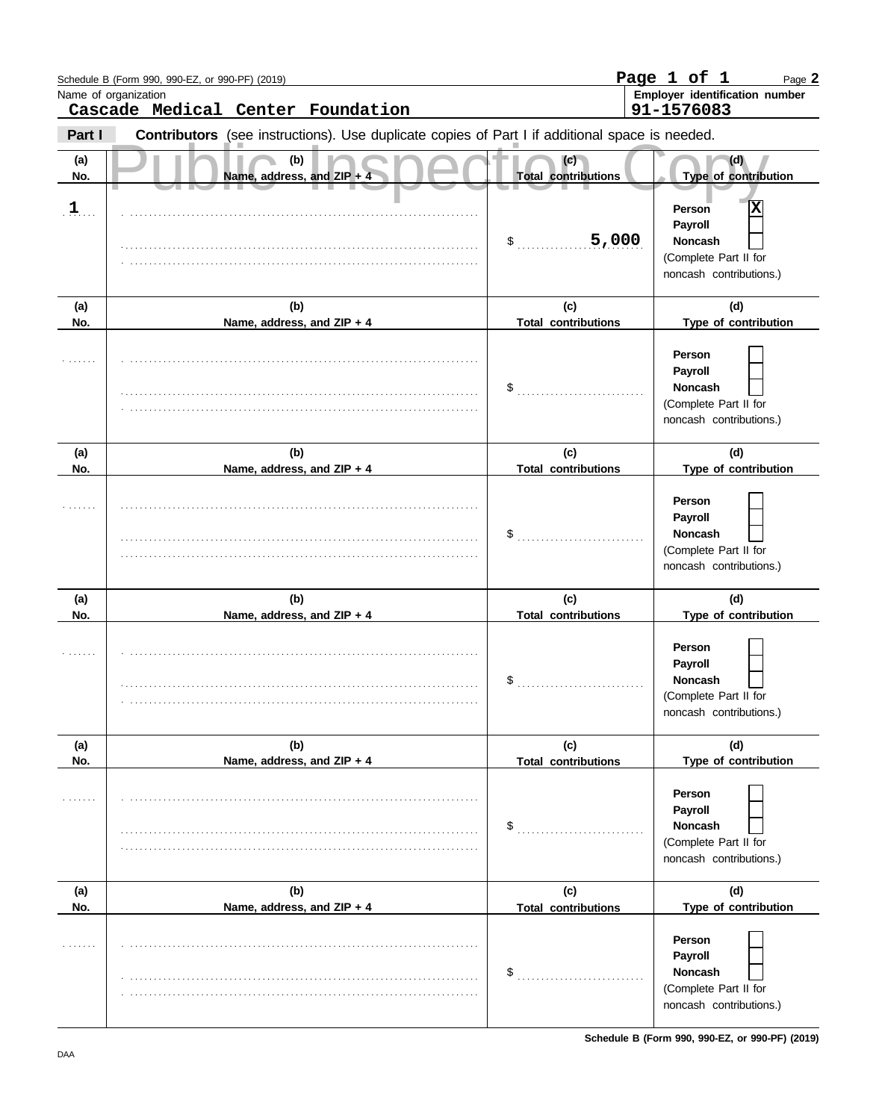|                | Schedule B (Form 990, 990-EZ, or 990-PF) (2019)                                                |                                   | Page 1 of 1<br>Page 2                                                                        |
|----------------|------------------------------------------------------------------------------------------------|-----------------------------------|----------------------------------------------------------------------------------------------|
|                | Name of organization<br>Cascade Medical Center Foundation                                      |                                   | Employer identification number<br>91-1576083                                                 |
| Part I         | Contributors (see instructions). Use duplicate copies of Part I if additional space is needed. |                                   |                                                                                              |
| (a)<br>No.     | (b)<br>Name, address, and ZIP + 4                                                              | (c)<br><b>Total contributions</b> | (d)<br>Type of contribution                                                                  |
| $\mathbf{1}$ . |                                                                                                | 5,000<br>$\frac{1}{2}$            | X<br>Person<br>Payroll<br><b>Noncash</b><br>(Complete Part II for<br>noncash contributions.) |
| (a)<br>No.     | (b)<br>Name, address, and ZIP + 4                                                              | (c)<br><b>Total contributions</b> | (d)<br>Type of contribution                                                                  |
|                |                                                                                                | \$                                | Person<br>Payroll<br><b>Noncash</b><br>(Complete Part II for<br>noncash contributions.)      |
| (a)<br>No.     | (b)<br>Name, address, and ZIP + 4                                                              | (c)<br><b>Total contributions</b> | (d)<br>Type of contribution                                                                  |
|                |                                                                                                | \$                                | Person<br>Payroll<br><b>Noncash</b><br>(Complete Part II for<br>noncash contributions.)      |
| (a)<br>No.     | (b)                                                                                            | (c)<br><b>Total contributions</b> | (d)<br>Type of contribution                                                                  |
|                | Name, address, and ZIP + 4                                                                     | $\mathfrak{s}$                    | Person<br>Payroll<br><b>Noncash</b><br>(Complete Part II for<br>noncash contributions.)      |
| (a)            | (b)                                                                                            | (c)                               | (d)                                                                                          |
| No.            | Name, address, and ZIP + 4                                                                     | <b>Total contributions</b>        | Type of contribution                                                                         |
|                |                                                                                                | \$                                | Person<br>Payroll<br><b>Noncash</b><br>(Complete Part II for<br>noncash contributions.)      |
| (a)<br>No.     | (b)<br>Name, address, and ZIP + 4                                                              | (c)<br><b>Total contributions</b> | (d)<br>Type of contribution                                                                  |
|                |                                                                                                | \$                                | Person<br>Payroll<br>Noncash<br>(Complete Part II for<br>noncash contributions.)             |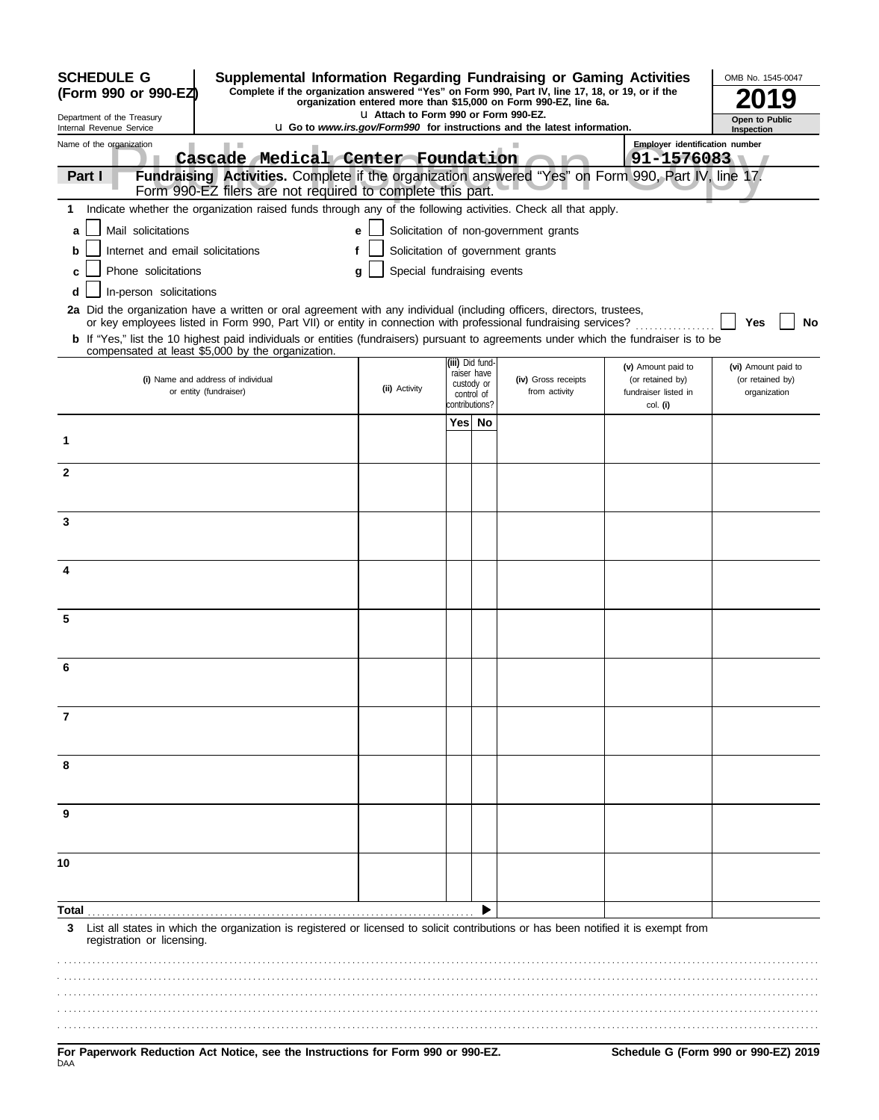| <b>SCHEDULE G</b><br>Supplemental Information Regarding Fundraising or Gaming Activities<br>Complete if the organization answered "Yes" on Form 990, Part IV, line 17, 18, or 19, or if the                                                             |                                       |                                |    |                                                                                 |                                        | OMB No. 1545-0047                       |
|---------------------------------------------------------------------------------------------------------------------------------------------------------------------------------------------------------------------------------------------------------|---------------------------------------|--------------------------------|----|---------------------------------------------------------------------------------|----------------------------------------|-----------------------------------------|
| (Form 990 or 990-EZ)                                                                                                                                                                                                                                    |                                       |                                |    | organization entered more than \$15,000 on Form 990-EZ, line 6a.                |                                        |                                         |
| Department of the Treasury<br>Internal Revenue Service                                                                                                                                                                                                  | La Attach to Form 990 or Form 990-EZ. |                                |    | <b>u</b> Go to www.irs.gov/Form990 for instructions and the latest information. |                                        | Open to Public<br>Inspection            |
| Name of the organization<br><b>I</b>                                                                                                                                                                                                                    |                                       |                                |    |                                                                                 | Employer identification number         |                                         |
| Cascade Medical Center Foundation                                                                                                                                                                                                                       |                                       |                                |    |                                                                                 | 91-1576083                             |                                         |
| Fundraising Activities. Complete if the organization answered "Yes" on Form 990, Part IV, line 17.<br>Part I<br>Form 990-EZ filers are not required to complete this part.                                                                              |                                       |                                |    |                                                                                 |                                        |                                         |
| Indicate whether the organization raised funds through any of the following activities. Check all that apply.<br>1.                                                                                                                                     |                                       |                                |    |                                                                                 |                                        |                                         |
| Mail solicitations<br>a                                                                                                                                                                                                                                 | e                                     |                                |    | Solicitation of non-government grants                                           |                                        |                                         |
| Internet and email solicitations<br>b                                                                                                                                                                                                                   |                                       |                                |    | Solicitation of government grants                                               |                                        |                                         |
| Phone solicitations<br>c                                                                                                                                                                                                                                | Special fundraising events<br>g       |                                |    |                                                                                 |                                        |                                         |
| In-person solicitations<br>d                                                                                                                                                                                                                            |                                       |                                |    |                                                                                 |                                        |                                         |
| 2a Did the organization have a written or oral agreement with any individual (including officers, directors, trustees,                                                                                                                                  |                                       |                                |    |                                                                                 |                                        |                                         |
| or key employees listed in Form 990, Part VII) or entity in connection with professional fundraising services?<br>b If "Yes," list the 10 highest paid individuals or entities (fundraisers) pursuant to agreements under which the fundraiser is to be |                                       |                                |    |                                                                                 |                                        | No<br>Yes                               |
| compensated at least \$5,000 by the organization.                                                                                                                                                                                                       |                                       |                                |    |                                                                                 |                                        |                                         |
| (i) Name and address of individual                                                                                                                                                                                                                      |                                       | (iii) Did fund-<br>raiser have |    | (iv) Gross receipts                                                             | (v) Amount paid to<br>(or retained by) | (vi) Amount paid to<br>(or retained by) |
| or entity (fundraiser)                                                                                                                                                                                                                                  | (ii) Activity                         | custody or<br>control of       |    | from activity                                                                   | fundraiser listed in                   | organization                            |
|                                                                                                                                                                                                                                                         |                                       | contributions?<br>Yes          | No |                                                                                 | col. (i)                               |                                         |
| 1                                                                                                                                                                                                                                                       |                                       |                                |    |                                                                                 |                                        |                                         |
|                                                                                                                                                                                                                                                         |                                       |                                |    |                                                                                 |                                        |                                         |
| $\mathbf{2}$                                                                                                                                                                                                                                            |                                       |                                |    |                                                                                 |                                        |                                         |
|                                                                                                                                                                                                                                                         |                                       |                                |    |                                                                                 |                                        |                                         |
| 3                                                                                                                                                                                                                                                       |                                       |                                |    |                                                                                 |                                        |                                         |
|                                                                                                                                                                                                                                                         |                                       |                                |    |                                                                                 |                                        |                                         |
|                                                                                                                                                                                                                                                         |                                       |                                |    |                                                                                 |                                        |                                         |
| 4                                                                                                                                                                                                                                                       |                                       |                                |    |                                                                                 |                                        |                                         |
|                                                                                                                                                                                                                                                         |                                       |                                |    |                                                                                 |                                        |                                         |
| 5                                                                                                                                                                                                                                                       |                                       |                                |    |                                                                                 |                                        |                                         |
|                                                                                                                                                                                                                                                         |                                       |                                |    |                                                                                 |                                        |                                         |
|                                                                                                                                                                                                                                                         |                                       |                                |    |                                                                                 |                                        |                                         |
|                                                                                                                                                                                                                                                         |                                       |                                |    |                                                                                 |                                        |                                         |
|                                                                                                                                                                                                                                                         |                                       |                                |    |                                                                                 |                                        |                                         |
| 7                                                                                                                                                                                                                                                       |                                       |                                |    |                                                                                 |                                        |                                         |
|                                                                                                                                                                                                                                                         |                                       |                                |    |                                                                                 |                                        |                                         |
| 8                                                                                                                                                                                                                                                       |                                       |                                |    |                                                                                 |                                        |                                         |
|                                                                                                                                                                                                                                                         |                                       |                                |    |                                                                                 |                                        |                                         |
| 9                                                                                                                                                                                                                                                       |                                       |                                |    |                                                                                 |                                        |                                         |
|                                                                                                                                                                                                                                                         |                                       |                                |    |                                                                                 |                                        |                                         |
|                                                                                                                                                                                                                                                         |                                       |                                |    |                                                                                 |                                        |                                         |
| 10                                                                                                                                                                                                                                                      |                                       |                                |    |                                                                                 |                                        |                                         |
|                                                                                                                                                                                                                                                         |                                       |                                |    |                                                                                 |                                        |                                         |
| Total                                                                                                                                                                                                                                                   |                                       |                                |    |                                                                                 |                                        |                                         |
| List all states in which the organization is registered or licensed to solicit contributions or has been notified it is exempt from<br>3<br>registration or licensing.                                                                                  |                                       |                                |    |                                                                                 |                                        |                                         |
|                                                                                                                                                                                                                                                         |                                       |                                |    |                                                                                 |                                        |                                         |
|                                                                                                                                                                                                                                                         |                                       |                                |    |                                                                                 |                                        |                                         |
|                                                                                                                                                                                                                                                         |                                       |                                |    |                                                                                 |                                        |                                         |
|                                                                                                                                                                                                                                                         |                                       |                                |    |                                                                                 |                                        |                                         |
|                                                                                                                                                                                                                                                         |                                       |                                |    |                                                                                 |                                        |                                         |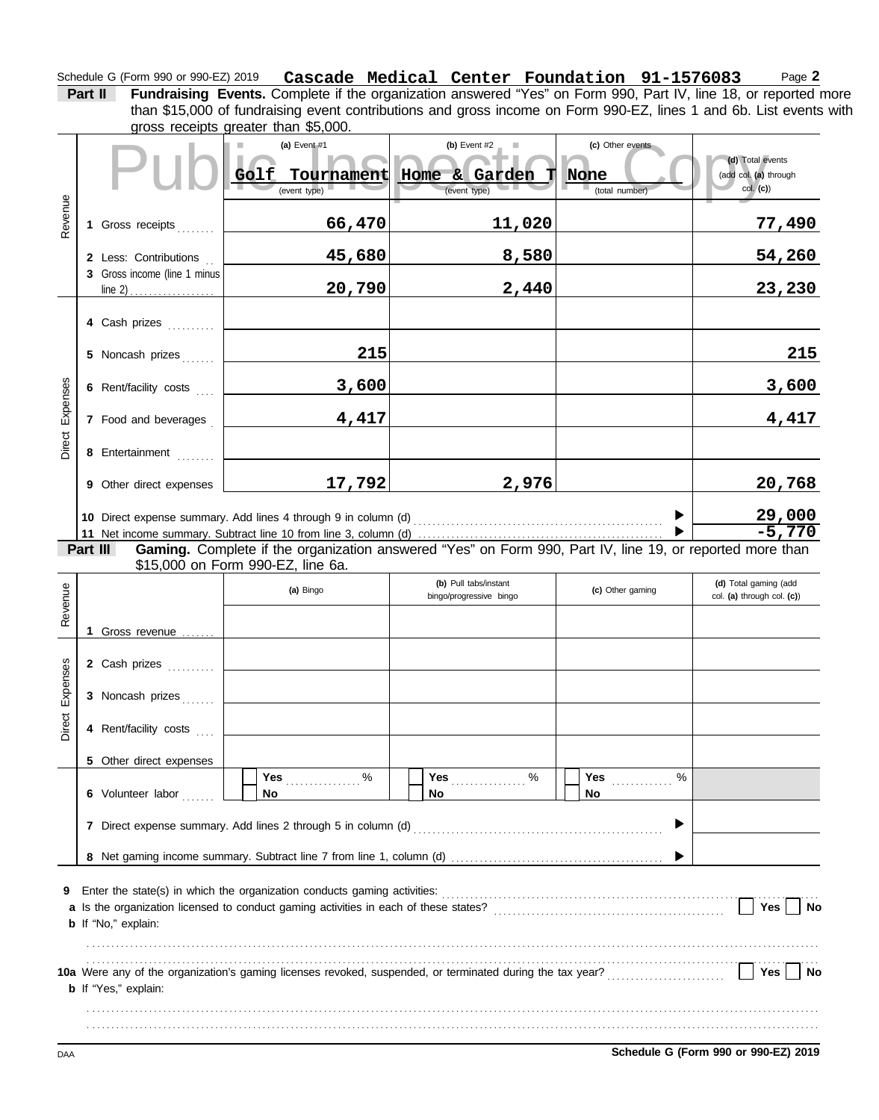#### Schedule G (Form 990 or 990-EZ) 2019 **Cascade Medical Center Foundation 91-1576083** Page 2 **Cascade Medical Center Foundation 91-1576083**

**Part II Fundraising Events.** Complete if the organization answered "Yes" on Form 990, Part IV, line 18, or reported more gross receipts greater than \$5,000. than \$15,000 of fundraising event contributions and gross income on Form 990-EZ, lines 1 and 6b. List events with

|          |                              | $9000$ receipts greater than $90,000$ .<br>(a) Event $#1$<br>Golf<br>Tournament                                                               | (b) Event $#2$<br>Home & Garden | (c) Other events<br>None | (d) Total events<br>(add col. (a) through |
|----------|------------------------------|-----------------------------------------------------------------------------------------------------------------------------------------------|---------------------------------|--------------------------|-------------------------------------------|
|          |                              | (event type)                                                                                                                                  | (event type)                    | (total number)           | col. (c)                                  |
| Revenue  | 1 Gross receipts             | 66,470                                                                                                                                        | 11,020                          |                          | <u>77,490</u>                             |
|          | 2 Less: Contributions        | 45,680                                                                                                                                        | 8,580                           |                          | 54,260                                    |
|          | 3 Gross income (line 1 minus | 20,790                                                                                                                                        | 2,440                           |                          | 23,230                                    |
|          | 4 Cash prizes                |                                                                                                                                               |                                 |                          |                                           |
|          | 5 Noncash prizes             | 215                                                                                                                                           |                                 |                          | 215                                       |
| Expenses | 6 Rent/facility costs        | 3,600                                                                                                                                         |                                 |                          | 3,600                                     |
|          | 7 Food and beverages         | 4,417                                                                                                                                         |                                 |                          | 4,417                                     |
| Direct   | 8 Entertainment              |                                                                                                                                               |                                 |                          |                                           |
|          | 9 Other direct expenses      | 17,792                                                                                                                                        | 2,976                           |                          | 20,768                                    |
|          |                              |                                                                                                                                               |                                 |                          | <u>29,000</u><br>-5,770                   |
|          |                              |                                                                                                                                               |                                 |                          |                                           |
|          | Part III                     | Gaming. Complete if the organization answered "Yes" on Form 990, Part IV, line 19, or reported more than<br>\$15,000 on Form 990-EZ, line 6a. |                                 |                          |                                           |
|          |                              |                                                                                                                                               | (b) Pull tabs/instant           |                          | (d) Total gaming (add                     |
| Revenue  |                              | (a) Bingo                                                                                                                                     | bingo/progressive bingo         | (c) Other gaming         | col. (a) through col. (c))                |
|          |                              |                                                                                                                                               |                                 |                          |                                           |
|          | 1 Gross revenue              |                                                                                                                                               |                                 |                          |                                           |
| Expenses | 2 Cash prizes                |                                                                                                                                               |                                 |                          |                                           |
|          | 3 Noncash prizes             |                                                                                                                                               |                                 |                          |                                           |
| Direct   | 4 Rent/facility costs        |                                                                                                                                               |                                 |                          |                                           |
|          | 5 Other direct expenses      |                                                                                                                                               |                                 |                          |                                           |
|          | 6 Volunteer labor            | $\%$<br>Yes<br>No                                                                                                                             | $\%$<br>Yes<br>No               | %<br><b>Yes</b><br>No    |                                           |
|          |                              |                                                                                                                                               |                                 |                          |                                           |
|          |                              |                                                                                                                                               |                                 |                          |                                           |
|          |                              |                                                                                                                                               |                                 |                          |                                           |
| 9        |                              |                                                                                                                                               |                                 |                          | <b>Yes</b><br>No                          |
|          | b If "No," explain:          |                                                                                                                                               |                                 |                          |                                           |
|          |                              |                                                                                                                                               |                                 |                          |                                           |
|          | <b>b</b> If "Yes," explain:  |                                                                                                                                               |                                 |                          | Yes<br><b>No</b>                          |
|          |                              |                                                                                                                                               |                                 |                          |                                           |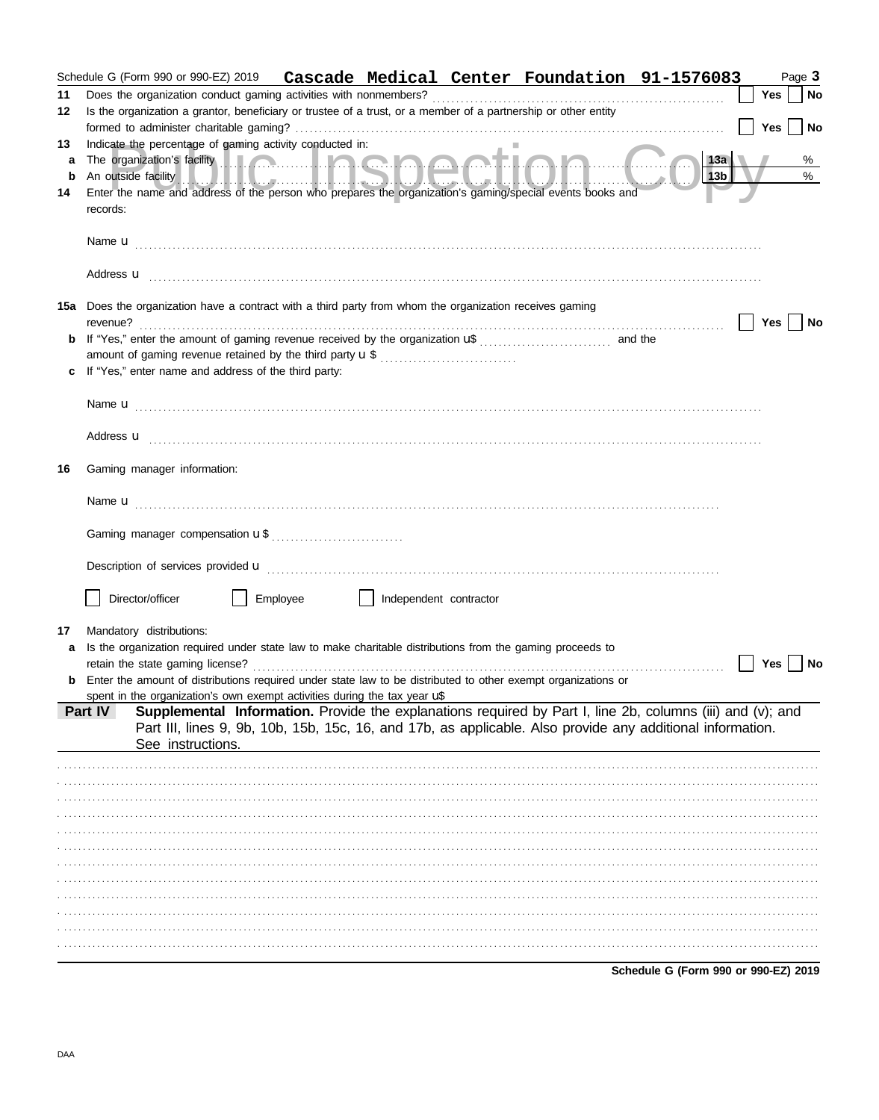|    |                                                                                                                                                                                                                                      |          |                        | Schedule G (Form 990 or 990-EZ) 2019 Cascade Medical Center Foundation 91-1576083                                                                                                                                                                                                                                                         |                                      |            | Page 3 |
|----|--------------------------------------------------------------------------------------------------------------------------------------------------------------------------------------------------------------------------------------|----------|------------------------|-------------------------------------------------------------------------------------------------------------------------------------------------------------------------------------------------------------------------------------------------------------------------------------------------------------------------------------------|--------------------------------------|------------|--------|
| 11 |                                                                                                                                                                                                                                      |          |                        |                                                                                                                                                                                                                                                                                                                                           |                                      | Yes        | No     |
| 12 | Is the organization a grantor, beneficiary or trustee of a trust, or a member of a partnership or other entity                                                                                                                       |          |                        |                                                                                                                                                                                                                                                                                                                                           |                                      |            |        |
|    |                                                                                                                                                                                                                                      |          |                        |                                                                                                                                                                                                                                                                                                                                           |                                      | <b>Yes</b> | No     |
| 13 | Indicate the percentage of gaming activity conducted in:                                                                                                                                                                             |          |                        |                                                                                                                                                                                                                                                                                                                                           |                                      |            |        |
| a  | The organization's facility <b>All Access of the Contract of the Contract of the Contract of the Contract of the Contract of the Contract of the Contract of the Contract of the Contract of the Contract of the Contract of the</b> |          |                        |                                                                                                                                                                                                                                                                                                                                           | 13a                                  |            | %      |
| b  |                                                                                                                                                                                                                                      |          |                        | An outside facility of the control of the control of the control of the control of the control of the control of the control of the control of the control of the control of the control of the control of the control of the<br>Enter the name and address of the person who prepares the organization's gaming/special events books and | 13b                                  |            | $\%$   |
| 14 | records:                                                                                                                                                                                                                             |          |                        |                                                                                                                                                                                                                                                                                                                                           |                                      |            |        |
|    |                                                                                                                                                                                                                                      |          |                        |                                                                                                                                                                                                                                                                                                                                           |                                      |            |        |
|    |                                                                                                                                                                                                                                      |          |                        |                                                                                                                                                                                                                                                                                                                                           |                                      |            |        |
|    |                                                                                                                                                                                                                                      |          |                        |                                                                                                                                                                                                                                                                                                                                           |                                      |            |        |
|    |                                                                                                                                                                                                                                      |          |                        |                                                                                                                                                                                                                                                                                                                                           |                                      |            |        |
|    |                                                                                                                                                                                                                                      |          |                        |                                                                                                                                                                                                                                                                                                                                           |                                      |            |        |
|    | 15a Does the organization have a contract with a third party from whom the organization receives gaming                                                                                                                              |          |                        |                                                                                                                                                                                                                                                                                                                                           |                                      |            |        |
|    | revenue?                                                                                                                                                                                                                             |          |                        |                                                                                                                                                                                                                                                                                                                                           |                                      | Yes        | No     |
|    |                                                                                                                                                                                                                                      |          |                        |                                                                                                                                                                                                                                                                                                                                           |                                      |            |        |
|    | If "Yes," enter name and address of the third party:                                                                                                                                                                                 |          |                        |                                                                                                                                                                                                                                                                                                                                           |                                      |            |        |
|    |                                                                                                                                                                                                                                      |          |                        |                                                                                                                                                                                                                                                                                                                                           |                                      |            |        |
|    |                                                                                                                                                                                                                                      |          |                        |                                                                                                                                                                                                                                                                                                                                           |                                      |            |        |
|    |                                                                                                                                                                                                                                      |          |                        |                                                                                                                                                                                                                                                                                                                                           |                                      |            |        |
|    |                                                                                                                                                                                                                                      |          |                        | Address <b>u</b> <u>contractive and the contractive and the contractive and the contractive and the contractive and the contractive and the contractive and contract and contract and contract and contract and contract and contract</u>                                                                                                 |                                      |            |        |
|    |                                                                                                                                                                                                                                      |          |                        |                                                                                                                                                                                                                                                                                                                                           |                                      |            |        |
| 16 | Gaming manager information:                                                                                                                                                                                                          |          |                        |                                                                                                                                                                                                                                                                                                                                           |                                      |            |        |
|    |                                                                                                                                                                                                                                      |          |                        |                                                                                                                                                                                                                                                                                                                                           |                                      |            |        |
|    |                                                                                                                                                                                                                                      |          |                        |                                                                                                                                                                                                                                                                                                                                           |                                      |            |        |
|    |                                                                                                                                                                                                                                      |          |                        |                                                                                                                                                                                                                                                                                                                                           |                                      |            |        |
|    |                                                                                                                                                                                                                                      |          |                        |                                                                                                                                                                                                                                                                                                                                           |                                      |            |        |
|    |                                                                                                                                                                                                                                      |          |                        |                                                                                                                                                                                                                                                                                                                                           |                                      |            |        |
|    |                                                                                                                                                                                                                                      |          |                        |                                                                                                                                                                                                                                                                                                                                           |                                      |            |        |
|    | Director/officer                                                                                                                                                                                                                     | Employee | Independent contractor |                                                                                                                                                                                                                                                                                                                                           |                                      |            |        |
|    |                                                                                                                                                                                                                                      |          |                        |                                                                                                                                                                                                                                                                                                                                           |                                      |            |        |
| 17 | Mandatory distributions:                                                                                                                                                                                                             |          |                        |                                                                                                                                                                                                                                                                                                                                           |                                      |            |        |
| a  | Is the organization required under state law to make charitable distributions from the gaming proceeds to                                                                                                                            |          |                        |                                                                                                                                                                                                                                                                                                                                           |                                      |            |        |
|    |                                                                                                                                                                                                                                      |          |                        |                                                                                                                                                                                                                                                                                                                                           |                                      | Yes        | No     |
|    |                                                                                                                                                                                                                                      |          |                        | <b>b</b> Enter the amount of distributions required under state law to be distributed to other exempt organizations or                                                                                                                                                                                                                    |                                      |            |        |
|    | spent in the organization's own exempt activities during the tax year $\mathbf{u}^*$                                                                                                                                                 |          |                        |                                                                                                                                                                                                                                                                                                                                           |                                      |            |        |
|    | Part IV                                                                                                                                                                                                                              |          |                        | Supplemental Information. Provide the explanations required by Part I, line 2b, columns (iii) and (v); and<br>Part III, lines 9, 9b, 10b, 15b, 15c, 16, and 17b, as applicable. Also provide any additional information.                                                                                                                  |                                      |            |        |
|    | See instructions.                                                                                                                                                                                                                    |          |                        |                                                                                                                                                                                                                                                                                                                                           |                                      |            |        |
|    |                                                                                                                                                                                                                                      |          |                        |                                                                                                                                                                                                                                                                                                                                           |                                      |            |        |
|    |                                                                                                                                                                                                                                      |          |                        |                                                                                                                                                                                                                                                                                                                                           |                                      |            |        |
|    |                                                                                                                                                                                                                                      |          |                        |                                                                                                                                                                                                                                                                                                                                           |                                      |            |        |
|    |                                                                                                                                                                                                                                      |          |                        |                                                                                                                                                                                                                                                                                                                                           |                                      |            |        |
|    |                                                                                                                                                                                                                                      |          |                        |                                                                                                                                                                                                                                                                                                                                           |                                      |            |        |
|    |                                                                                                                                                                                                                                      |          |                        |                                                                                                                                                                                                                                                                                                                                           |                                      |            |        |
|    |                                                                                                                                                                                                                                      |          |                        |                                                                                                                                                                                                                                                                                                                                           |                                      |            |        |
|    |                                                                                                                                                                                                                                      |          |                        |                                                                                                                                                                                                                                                                                                                                           |                                      |            |        |
|    |                                                                                                                                                                                                                                      |          |                        |                                                                                                                                                                                                                                                                                                                                           |                                      |            |        |
|    |                                                                                                                                                                                                                                      |          |                        |                                                                                                                                                                                                                                                                                                                                           |                                      |            |        |
|    |                                                                                                                                                                                                                                      |          |                        |                                                                                                                                                                                                                                                                                                                                           |                                      |            |        |
|    |                                                                                                                                                                                                                                      |          |                        |                                                                                                                                                                                                                                                                                                                                           |                                      |            |        |
|    |                                                                                                                                                                                                                                      |          |                        |                                                                                                                                                                                                                                                                                                                                           | Schedule G (Form 990 or 990-EZ) 2019 |            |        |

DAA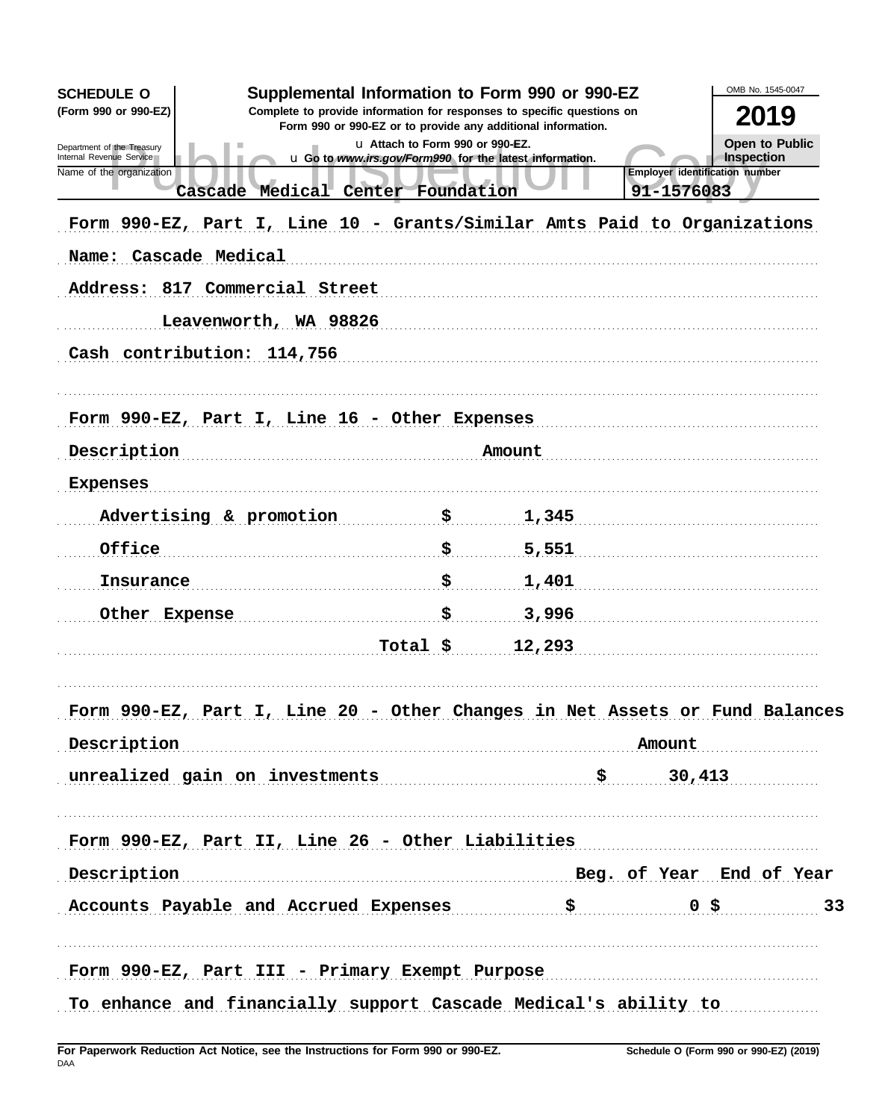| Supplemental Information to Form 990 or 990-EZ<br><b>SCHEDULE O</b><br>(Form 990 or 990-EZ)<br>Complete to provide information for responses to specific questions on<br>Form 990 or 990-EZ or to provide any additional information.<br>u Attach to Form 990 or 990-EZ.<br>Department of the Treasury<br>Internal Revenue Service<br>u Go to www.irs.gov/Form990 for the latest information.<br>Name of the organization<br>Cascade Medical Center Foundation<br>Form 990-EZ, Part I, Line 10 - Grants/Similar Amts Paid to Organizations<br>Name: Cascade Medical | <b>Employer identification number</b><br>91-1576083 | OMB No. 1545-0047<br>2019<br><b>Open to Public</b><br>Inspection |  |  |
|---------------------------------------------------------------------------------------------------------------------------------------------------------------------------------------------------------------------------------------------------------------------------------------------------------------------------------------------------------------------------------------------------------------------------------------------------------------------------------------------------------------------------------------------------------------------|-----------------------------------------------------|------------------------------------------------------------------|--|--|
| Address: 817 Commercial Street                                                                                                                                                                                                                                                                                                                                                                                                                                                                                                                                      |                                                     |                                                                  |  |  |
| Leavenworth, WA 98826                                                                                                                                                                                                                                                                                                                                                                                                                                                                                                                                               |                                                     |                                                                  |  |  |
| Cash contribution: 114,756                                                                                                                                                                                                                                                                                                                                                                                                                                                                                                                                          |                                                     |                                                                  |  |  |
|                                                                                                                                                                                                                                                                                                                                                                                                                                                                                                                                                                     |                                                     |                                                                  |  |  |
| Form 990-EZ, Part I, Line 16 - Other Expenses                                                                                                                                                                                                                                                                                                                                                                                                                                                                                                                       |                                                     |                                                                  |  |  |
| Description                                                                                                                                                                                                                                                                                                                                                                                                                                                                                                                                                         |                                                     | Amount                                                           |  |  |
| Expenses                                                                                                                                                                                                                                                                                                                                                                                                                                                                                                                                                            |                                                     |                                                                  |  |  |
| Advertising & promotion                                                                                                                                                                                                                                                                                                                                                                                                                                                                                                                                             | \$                                                  | 1,345                                                            |  |  |
| Office                                                                                                                                                                                                                                                                                                                                                                                                                                                                                                                                                              | \$                                                  | 5,551                                                            |  |  |
| Insurance                                                                                                                                                                                                                                                                                                                                                                                                                                                                                                                                                           | \$.                                                 | 1,401                                                            |  |  |
| Other Expense                                                                                                                                                                                                                                                                                                                                                                                                                                                                                                                                                       | \$                                                  | 3,996                                                            |  |  |
|                                                                                                                                                                                                                                                                                                                                                                                                                                                                                                                                                                     | Total \$                                            | 12,293                                                           |  |  |
|                                                                                                                                                                                                                                                                                                                                                                                                                                                                                                                                                                     |                                                     |                                                                  |  |  |
| Form 990-EZ, Part I, Line 20 - Other Changes in Net Assets or Fund Balances                                                                                                                                                                                                                                                                                                                                                                                                                                                                                         |                                                     |                                                                  |  |  |
| Description Amount                                                                                                                                                                                                                                                                                                                                                                                                                                                                                                                                                  |                                                     |                                                                  |  |  |
| unrealized gain on investments $$30,413$                                                                                                                                                                                                                                                                                                                                                                                                                                                                                                                            |                                                     |                                                                  |  |  |
| Form 990-EZ, Part II, Line 26 - Other Liabilities                                                                                                                                                                                                                                                                                                                                                                                                                                                                                                                   |                                                     |                                                                  |  |  |
| Description Description Beg. of Year End of Year                                                                                                                                                                                                                                                                                                                                                                                                                                                                                                                    |                                                     |                                                                  |  |  |
| Accounts Payable and Accrued Expenses \$ 0\$ 0.5 33                                                                                                                                                                                                                                                                                                                                                                                                                                                                                                                 |                                                     |                                                                  |  |  |
| Form 990-EZ, Part III - Primary Exempt Purpose                                                                                                                                                                                                                                                                                                                                                                                                                                                                                                                      |                                                     |                                                                  |  |  |
| To enhance and financially support Cascade Medical's ability to                                                                                                                                                                                                                                                                                                                                                                                                                                                                                                     |                                                     |                                                                  |  |  |